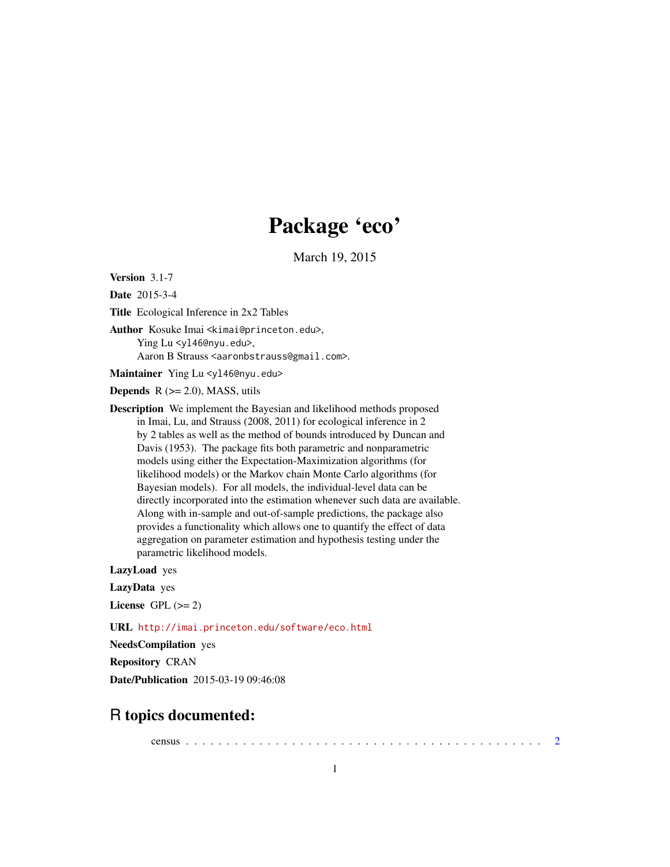# Package 'eco'

March 19, 2015

Version 3.1-7

Date 2015-3-4

Title Ecological Inference in 2x2 Tables

Author Kosuke Imai <kimai@princeton.edu>, Ying Lu <yl46@nyu.edu>,

Aaron B Strauss <aaronbstrauss@gmail.com>.

Maintainer Ying Lu <y146@nyu.edu>

**Depends**  $R$  ( $>= 2.0$ ), MASS, utils

Description We implement the Bayesian and likelihood methods proposed in Imai, Lu, and Strauss (2008, 2011) for ecological inference in 2 by 2 tables as well as the method of bounds introduced by Duncan and Davis (1953). The package fits both parametric and nonparametric models using either the Expectation-Maximization algorithms (for likelihood models) or the Markov chain Monte Carlo algorithms (for Bayesian models). For all models, the individual-level data can be directly incorporated into the estimation whenever such data are available. Along with in-sample and out-of-sample predictions, the package also provides a functionality which allows one to quantify the effect of data aggregation on parameter estimation and hypothesis testing under the parametric likelihood models.

LazyLoad yes

LazyData yes

License GPL  $(>= 2)$ 

URL <http://imai.princeton.edu/software/eco.html>

NeedsCompilation yes

Repository CRAN

Date/Publication 2015-03-19 09:46:08

# R topics documented:

census . . . . . . . . . . . . . . . . . . . . . . . . . . . . . . . . . . . . . . . . . . . . [2](#page-1-0)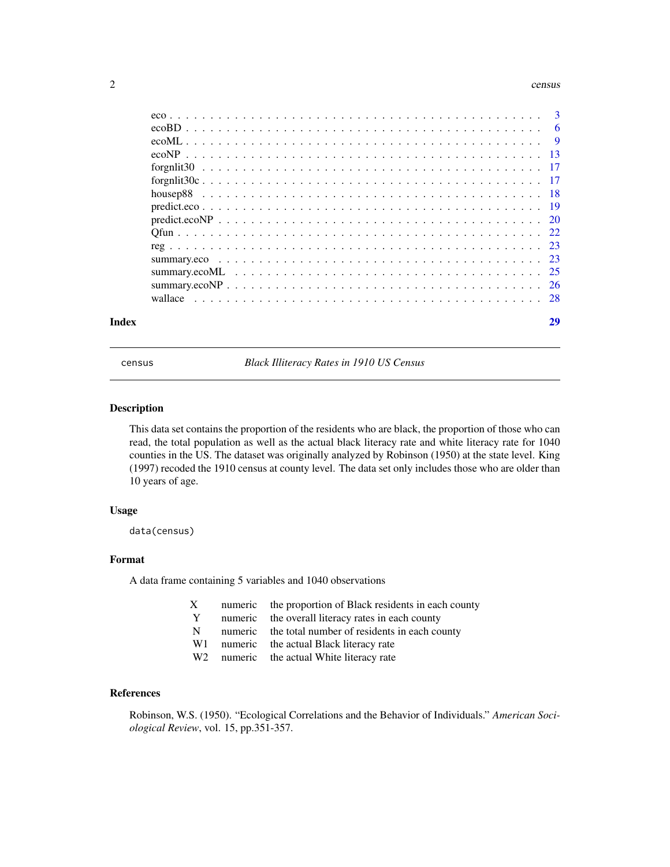#### <span id="page-1-0"></span> $2 \cos \theta$  census  $2 \sin \theta$  census  $2 \sin \theta$  census  $2 \sin \theta$  census  $2 \sin \theta$  census  $2 \sin \theta$  census  $2 \sin \theta$  census  $2 \sin \theta$  census  $2 \sin \theta$  census  $2 \sin \theta$  census  $2 \sin \theta$  census  $2 \sin \theta$  census  $2 \sin \theta$  census  $2 \sin \theta$  census  $2 \sin \theta$  cen

| Index |  |
|-------|--|
|       |  |
|       |  |
|       |  |
|       |  |
|       |  |
|       |  |
|       |  |
|       |  |
|       |  |
|       |  |
|       |  |
|       |  |
|       |  |
|       |  |
|       |  |

census *Black Illiteracy Rates in 1910 US Census*

# Description

This data set contains the proportion of the residents who are black, the proportion of those who can read, the total population as well as the actual black literacy rate and white literacy rate for 1040 counties in the US. The dataset was originally analyzed by Robinson (1950) at the state level. King (1997) recoded the 1910 census at county level. The data set only includes those who are older than 10 years of age.

# Usage

data(census)

# Format

A data frame containing 5 variables and 1040 observations

- X numeric the proportion of Black residents in each county
- Y numeric the overall literacy rates in each county
- N numeric the total number of residents in each county
- W1 numeric the actual Black literacy rate
- W<sub>2</sub> numeric the actual White literacy rate

# References

Robinson, W.S. (1950). "Ecological Correlations and the Behavior of Individuals." *American Sociological Review*, vol. 15, pp.351-357.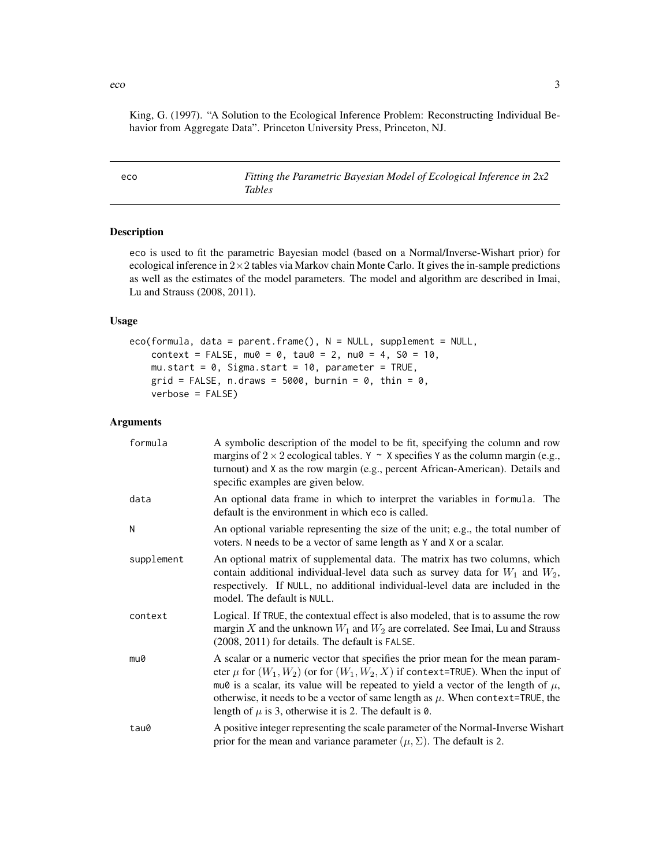<span id="page-2-0"></span>King, G. (1997). "A Solution to the Ecological Inference Problem: Reconstructing Individual Behavior from Aggregate Data". Princeton University Press, Princeton, NJ.

| eco | Fitting the Parametric Bayesian Model of Ecological Inference in 2x2 |
|-----|----------------------------------------------------------------------|
|     | Tables                                                               |

#### Description

eco is used to fit the parametric Bayesian model (based on a Normal/Inverse-Wishart prior) for ecological inference in  $2\times 2$  tables via Markov chain Monte Carlo. It gives the in-sample predictions as well as the estimates of the model parameters. The model and algorithm are described in Imai, Lu and Strauss (2008, 2011).

# Usage

eco(formula, data = parent.frame(), N = NULL, supplement = NULL,  $context = FALSE, mu0 = 0, tau0 = 2, nu0 = 4, SO = 10,$ mu.start =  $0$ , Sigma.start = 10, parameter = TRUE,  $grid = FALSE, n.draws = 5000, burnin = 0, thin = 0,$ verbose = FALSE)

# Arguments

| formula    | A symbolic description of the model to be fit, specifying the column and row<br>margins of $2 \times 2$ ecological tables. Y ~ X specifies Y as the column margin (e.g.,<br>turnout) and X as the row margin (e.g., percent African-American). Details and<br>specific examples are given below.                                                                                                                         |
|------------|--------------------------------------------------------------------------------------------------------------------------------------------------------------------------------------------------------------------------------------------------------------------------------------------------------------------------------------------------------------------------------------------------------------------------|
| data       | An optional data frame in which to interpret the variables in formula. The<br>default is the environment in which eco is called.                                                                                                                                                                                                                                                                                         |
| N          | An optional variable representing the size of the unit; e.g., the total number of<br>voters. N needs to be a vector of same length as Y and X or a scalar.                                                                                                                                                                                                                                                               |
| supplement | An optional matrix of supplemental data. The matrix has two columns, which<br>contain additional individual-level data such as survey data for $W_1$ and $W_2$ ,<br>respectively. If NULL, no additional individual-level data are included in the<br>model. The default is NULL.                                                                                                                                        |
| context    | Logical. If TRUE, the contextual effect is also modeled, that is to assume the row<br>margin X and the unknown $W_1$ and $W_2$ are correlated. See Imai, Lu and Strauss<br>(2008, 2011) for details. The default is FALSE.                                                                                                                                                                                               |
| mu0        | A scalar or a numeric vector that specifies the prior mean for the mean param-<br>eter $\mu$ for $(W_1, W_2)$ (or for $(W_1, W_2, X)$ if context=TRUE). When the input of<br>mu0 is a scalar, its value will be repeated to yield a vector of the length of $\mu$ ,<br>otherwise, it needs to be a vector of same length as $\mu$ . When context=TRUE, the<br>length of $\mu$ is 3, otherwise it is 2. The default is 0. |
| tau0       | A positive integer representing the scale parameter of the Normal-Inverse Wishart<br>prior for the mean and variance parameter $(\mu, \Sigma)$ . The default is 2.                                                                                                                                                                                                                                                       |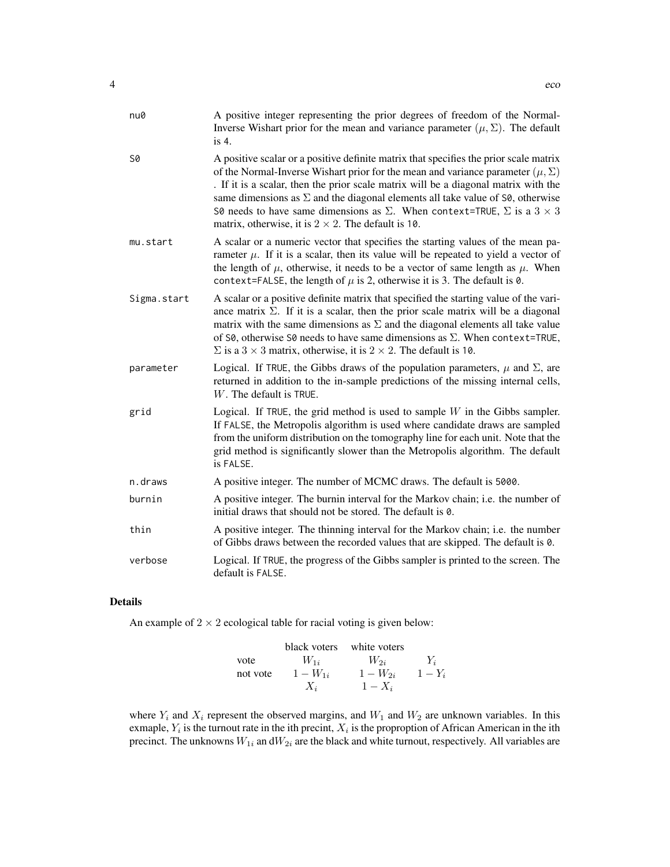| nu0         | A positive integer representing the prior degrees of freedom of the Normal-<br>Inverse Wishart prior for the mean and variance parameter $(\mu, \Sigma)$ . The default<br>is $4.$                                                                                                                                                                                                                                                                                                                                                          |
|-------------|--------------------------------------------------------------------------------------------------------------------------------------------------------------------------------------------------------------------------------------------------------------------------------------------------------------------------------------------------------------------------------------------------------------------------------------------------------------------------------------------------------------------------------------------|
| S0          | A positive scalar or a positive definite matrix that specifies the prior scale matrix<br>of the Normal-Inverse Wishart prior for the mean and variance parameter $(\mu, \Sigma)$<br>. If it is a scalar, then the prior scale matrix will be a diagonal matrix with the<br>same dimensions as $\Sigma$ and the diagonal elements all take value of $\mathsf{S0}$ , otherwise<br>S0 needs to have same dimensions as $\Sigma$ . When context=TRUE, $\Sigma$ is a $3 \times 3$<br>matrix, otherwise, it is $2 \times 2$ . The default is 10. |
| mu.start    | A scalar or a numeric vector that specifies the starting values of the mean pa-<br>rameter $\mu$ . If it is a scalar, then its value will be repeated to yield a vector of<br>the length of $\mu$ , otherwise, it needs to be a vector of same length as $\mu$ . When<br>context=FALSE, the length of $\mu$ is 2, otherwise it is 3. The default is 0.                                                                                                                                                                                     |
| Sigma.start | A scalar or a positive definite matrix that specified the starting value of the vari-<br>ance matrix $\Sigma$ . If it is a scalar, then the prior scale matrix will be a diagonal<br>matrix with the same dimensions as $\Sigma$ and the diagonal elements all take value<br>of S0, otherwise S0 needs to have same dimensions as $\Sigma$ . When context=TRUE,<br>$\Sigma$ is a 3 × 3 matrix, otherwise, it is 2 × 2. The default is 10.                                                                                                  |
| parameter   | Logical. If TRUE, the Gibbs draws of the population parameters, $\mu$ and $\Sigma$ , are<br>returned in addition to the in-sample predictions of the missing internal cells,<br>W. The default is TRUE.                                                                                                                                                                                                                                                                                                                                    |
| grid        | Logical. If TRUE, the grid method is used to sample $W$ in the Gibbs sampler.<br>If FALSE, the Metropolis algorithm is used where candidate draws are sampled<br>from the uniform distribution on the tomography line for each unit. Note that the<br>grid method is significantly slower than the Metropolis algorithm. The default<br>is FALSE.                                                                                                                                                                                          |
| n.draws     | A positive integer. The number of MCMC draws. The default is 5000.                                                                                                                                                                                                                                                                                                                                                                                                                                                                         |
| burnin      | A positive integer. The burnin interval for the Markov chain; i.e. the number of<br>initial draws that should not be stored. The default is 0.                                                                                                                                                                                                                                                                                                                                                                                             |
| thin        | A positive integer. The thinning interval for the Markov chain; i.e. the number<br>of Gibbs draws between the recorded values that are skipped. The default is 0.                                                                                                                                                                                                                                                                                                                                                                          |
| verbose     | Logical. If TRUE, the progress of the Gibbs sampler is printed to the screen. The<br>default is FALSE.                                                                                                                                                                                                                                                                                                                                                                                                                                     |

# Details

An example of  $2 \times 2$  ecological table for racial voting is given below:

| black voters | white voters |              |           |
|--------------|--------------|--------------|-----------|
| vote         | $W_{1i}$     | $W_{2i}$     | $Y_i$     |
| not vote     | $1 - W_{1i}$ | $1 - W_{2i}$ | $1 - Y_i$ |
| $X_i$        | $1 - X_i$    |              |           |

where  $Y_i$  and  $X_i$  represent the observed margins, and  $W_1$  and  $W_2$  are unknown variables. In this exmaple,  $Y_i$  is the turnout rate in the ith precint,  $X_i$  is the proproption of African American in the ith precinct. The unknowns  $W_{1i}$  an d $W_{2i}$  are the black and white turnout, respectively. All variables are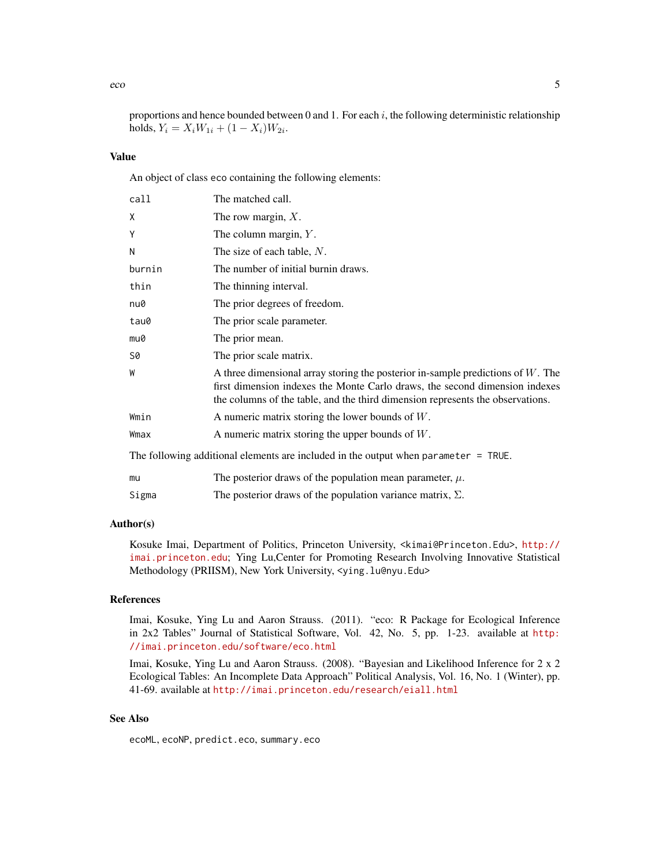proportions and hence bounded between 0 and 1. For each  $i$ , the following deterministic relationship holds,  $Y_i = X_i W_{1i} + (1 - X_i) W_{2i}$ .

# Value

An object of class eco containing the following elements:

| call   | The matched call.                                                                                                                                                                                                                                   |
|--------|-----------------------------------------------------------------------------------------------------------------------------------------------------------------------------------------------------------------------------------------------------|
| Χ      | The row margin, $X$ .                                                                                                                                                                                                                               |
| Υ      | The column margin, $Y$ .                                                                                                                                                                                                                            |
| N      | The size of each table, $N$ .                                                                                                                                                                                                                       |
| burnin | The number of initial burnin draws.                                                                                                                                                                                                                 |
| thin   | The thinning interval.                                                                                                                                                                                                                              |
| nu0    | The prior degrees of freedom.                                                                                                                                                                                                                       |
| tau0   | The prior scale parameter.                                                                                                                                                                                                                          |
| mu0    | The prior mean.                                                                                                                                                                                                                                     |
| 50     | The prior scale matrix.                                                                                                                                                                                                                             |
| W      | A three dimensional array storing the posterior in-sample predictions of $W$ . The<br>first dimension indexes the Monte Carlo draws, the second dimension indexes<br>the columns of the table, and the third dimension represents the observations. |
| Wmin   | A numeric matrix storing the lower bounds of $W$ .                                                                                                                                                                                                  |
| Wmax   | A numeric matrix storing the upper bounds of $W$ .                                                                                                                                                                                                  |
|        | The following additional elements are included in the output when parameter $=$ TRUE.                                                                                                                                                               |
| mu     | The posterior draws of the population mean parameter, $\mu$ .                                                                                                                                                                                       |

# Sigma The posterior draws of the population variance matrix,  $\Sigma$ .

# Author(s)

Kosuke Imai, Department of Politics, Princeton University, <kimai@Princeton.Edu>, [http://](http://imai.princeton.edu) [imai.princeton.edu](http://imai.princeton.edu); Ying Lu,Center for Promoting Research Involving Innovative Statistical Methodology (PRIISM), New York University, <ying.lu@nyu.Edu>

# References

Imai, Kosuke, Ying Lu and Aaron Strauss. (2011). "eco: R Package for Ecological Inference in 2x2 Tables" Journal of Statistical Software, Vol. 42, No. 5, pp. 1-23. available at [http:](http://imai.princeton.edu/software/eco.html) [//imai.princeton.edu/software/eco.html](http://imai.princeton.edu/software/eco.html)

Imai, Kosuke, Ying Lu and Aaron Strauss. (2008). "Bayesian and Likelihood Inference for 2 x 2 Ecological Tables: An Incomplete Data Approach" Political Analysis, Vol. 16, No. 1 (Winter), pp. 41-69. available at <http://imai.princeton.edu/research/eiall.html>

# See Also

ecoML, ecoNP, predict.eco, summary.eco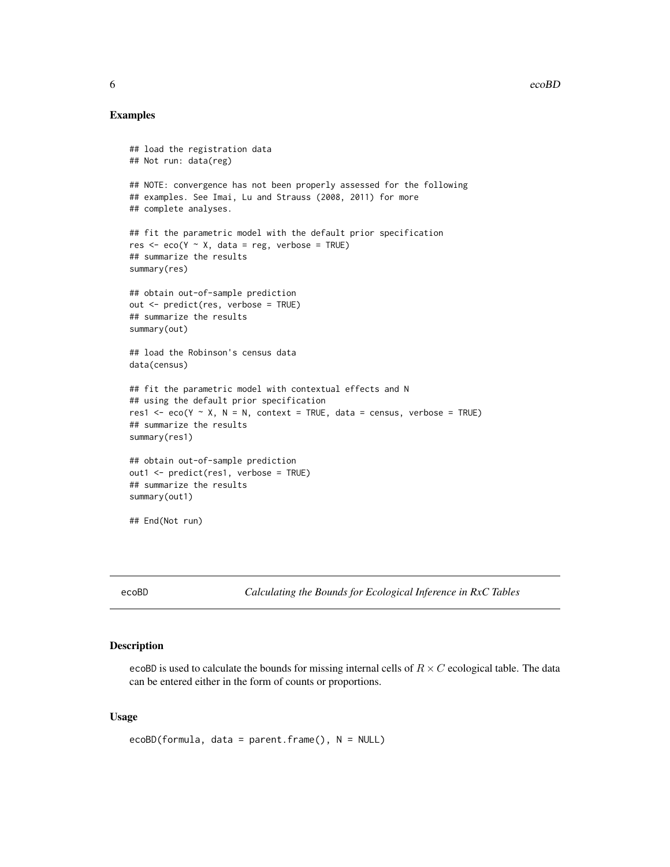# <span id="page-5-0"></span>Examples

```
## load the registration data
## Not run: data(reg)
## NOTE: convergence has not been properly assessed for the following
## examples. See Imai, Lu and Strauss (2008, 2011) for more
## complete analyses.
## fit the parametric model with the default prior specification
res \leq eco(Y \sim X, data = reg, verbose = TRUE)
## summarize the results
summary(res)
## obtain out-of-sample prediction
out <- predict(res, verbose = TRUE)
## summarize the results
summary(out)
## load the Robinson's census data
data(census)
## fit the parametric model with contextual effects and N
## using the default prior specification
res1 <- eco(Y \sim X, N = N, context = TRUE, data = census, verbose = TRUE)
## summarize the results
summary(res1)
## obtain out-of-sample prediction
out1 <- predict(res1, verbose = TRUE)
## summarize the results
summary(out1)
## End(Not run)
```
ecoBD *Calculating the Bounds for Ecological Inference in RxC Tables*

#### Description

ecoBD is used to calculate the bounds for missing internal cells of  $R \times C$  ecological table. The data can be entered either in the form of counts or proportions.

#### Usage

```
ecoBD(formula, data = parent.frame(), N = NULL)
```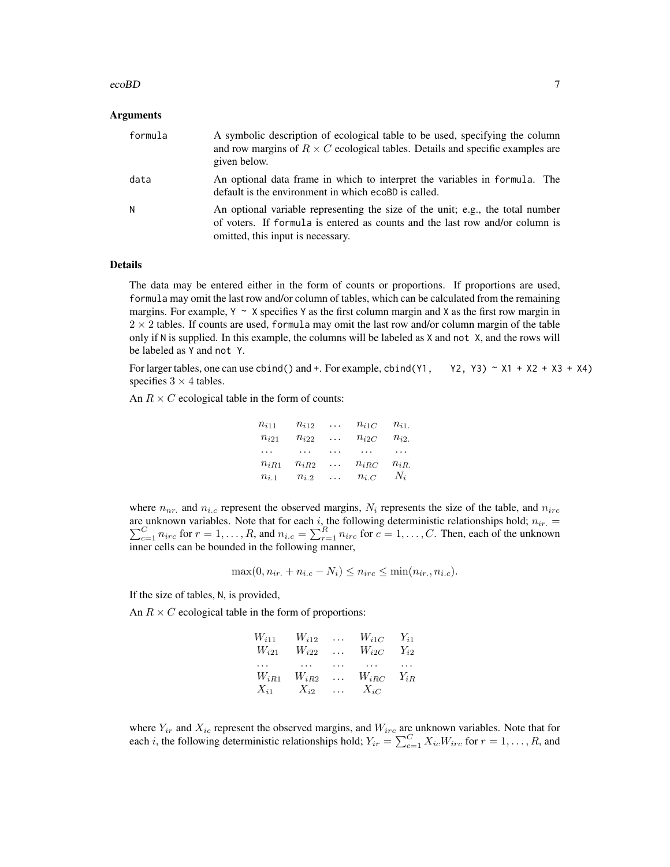#### ecoBD 7 and 3 and 3 and 3 and 3 and 3 and 3 and 3 and 3 and 3 and 3 and 3 and 3 and 3 and 3 and 3 and 3 and 3 and 3 and 3 and 3 and 3 and 3 and 3 and 3 and 3 and 3 and 3 and 3 and 3 and 3 and 3 and 3 and 3 and 3 and 3 and

# Arguments

| formula | A symbolic description of ecological table to be used, specifying the column<br>and row margins of $R \times C$ ecological tables. Details and specific examples are<br>given below.                |
|---------|-----------------------------------------------------------------------------------------------------------------------------------------------------------------------------------------------------|
| data    | An optional data frame in which to interpret the variables in formula. The<br>default is the environment in which ecoBD is called.                                                                  |
| N.      | An optional variable representing the size of the unit; e.g., the total number<br>of voters. If formula is entered as counts and the last row and/or column is<br>omitted, this input is necessary. |

# Details

The data may be entered either in the form of counts or proportions. If proportions are used, formula may omit the last row and/or column of tables, which can be calculated from the remaining margins. For example,  $Y \sim X$  specifies Y as the first column margin and X as the first row margin in  $2 \times 2$  tables. If counts are used, formula may omit the last row and/or column margin of the table only if N is supplied. In this example, the columns will be labeled as X and not X, and the rows will be labeled as Y and not Y.

For larger tables, one can use cbind() and  $+$ . For example, cbind(Y1, Y2, Y3) ~ X1 + X2 + X3 + X4) specifies  $3 \times 4$  tables.

An  $R \times C$  ecological table in the form of counts:

| $n_{i11}$ | $n_{i12}$ | . | $n_{i1C}$ | $n_{i1}$ |
|-----------|-----------|---|-----------|----------|
| $n_{i21}$ | $n_{i22}$ | . | $n_{i2C}$ | $n_{i2}$ |
| $\cdots$  | .         | . | .         | .        |
| $n_{iR1}$ | $n_{iR2}$ | . | $n_{iRC}$ | $n_{iR}$ |
| $n_{i,1}$ | $n_{i,2}$ | . | $n_{i,C}$ | $N_i$    |

where  $n_{nr}$  and  $n_{i,c}$  represent the observed margins,  $N_i$  represents the size of the table, and  $n_{irc}$ are unknown variables. Note that for each  $\sum$ e unknown variables. Note that for each *i*, the following deterministic relationships hold;  $n_{ir.} =$ <br> $\frac{C}{c=1} n_{irc}$  for  $r = 1, ..., R$ , and  $n_{i.c} = \sum_{r=1}^{R} n_{irc}$  for  $c = 1, ..., C$ . Then, each of the unknown inner cells can be bounded in the following manner,

$$
\max(0, n_{ir.} + n_{i.c} - N_i) \le n_{irc} \le \min(n_{ir.}, n_{i.c}).
$$

If the size of tables, N, is provided,

An  $R \times C$  ecological table in the form of proportions:

| $W_{i11}$ | $W_{i12}$ | $\cdots$ | $W_{i1C}$ | $Y_{i1}$ |
|-----------|-----------|----------|-----------|----------|
| $W_{i21}$ | $W_{i22}$ | $\cdots$ | $W_{i2C}$ | $Y_{i2}$ |
| .         | $\cdots$  | .        | .         | $\cdots$ |
| $W_{iR1}$ | $W_{iR2}$ | .        | $W_{iRC}$ | $Y_{iR}$ |
| $X_{i1}$  | $X_{i2}$  | $\cdots$ | $X_{iC}$  |          |

where  $Y_{ir}$  and  $X_{ic}$  represent the observed margins, and  $W_{irc}$  are unknown variables. Note that for each *i*, the following deterministic relationships hold;  $Y_{ir} = \sum_{c=1}^{C} X_{ic}W_{irc}$  for  $r = 1, ..., R$ , and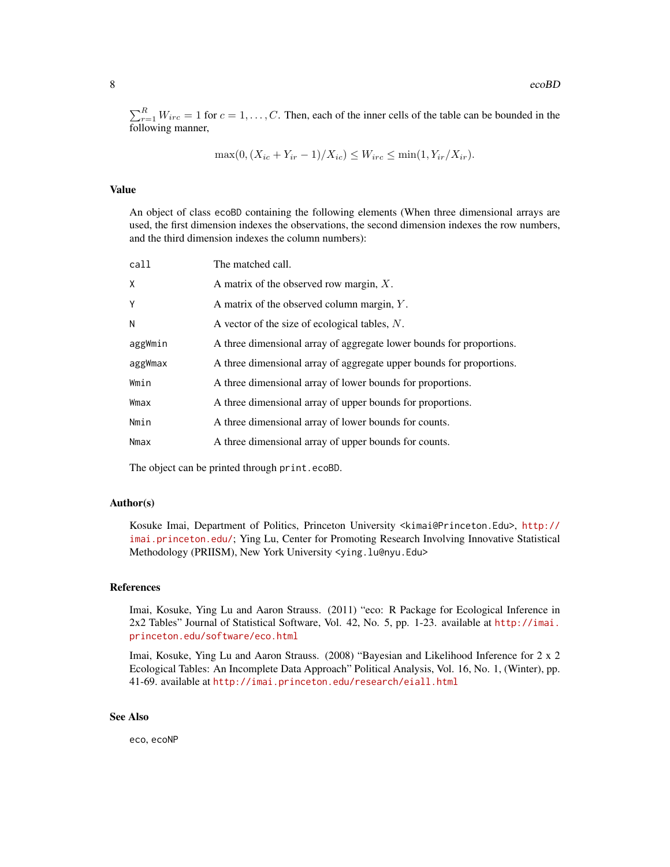$\sum_{r=1}^{R} W_{irc} = 1$  for  $c = 1, \ldots, C$ . Then, each of the inner cells of the table can be bounded in the following manner,

$$
\max(0, (X_{ic} + Y_{ir} - 1)/X_{ic}) \le W_{irc} \le \min(1, Y_{ir}/X_{ir}).
$$

#### Value

An object of class ecoBD containing the following elements (When three dimensional arrays are used, the first dimension indexes the observations, the second dimension indexes the row numbers, and the third dimension indexes the column numbers):

| call    | The matched call.                                                    |
|---------|----------------------------------------------------------------------|
| X       | A matrix of the observed row margin, $X$ .                           |
| Y       | A matrix of the observed column margin, $Y$ .                        |
| N       | A vector of the size of ecological tables, $N$ .                     |
| aggWmin | A three dimensional array of aggregate lower bounds for proportions. |
| aggWmax | A three dimensional array of aggregate upper bounds for proportions. |
| Wmin    | A three dimensional array of lower bounds for proportions.           |
| Wmax    | A three dimensional array of upper bounds for proportions.           |
| Nmin    | A three dimensional array of lower bounds for counts.                |
| Nmax    | A three dimensional array of upper bounds for counts.                |
|         |                                                                      |

The object can be printed through print.ecoBD.

# Author(s)

Kosuke Imai, Department of Politics, Princeton University <kimai@Princeton.Edu>, [http://](http://imai.princeton.edu/) [imai.princeton.edu/](http://imai.princeton.edu/); Ying Lu, Center for Promoting Research Involving Innovative Statistical Methodology (PRIISM), New York University <ying.lu@nyu.Edu>

# References

Imai, Kosuke, Ying Lu and Aaron Strauss. (2011) "eco: R Package for Ecological Inference in 2x2 Tables" Journal of Statistical Software, Vol. 42, No. 5, pp. 1-23. available at [http://imai.](http://imai.princeton.edu/software/eco.html) [princeton.edu/software/eco.html](http://imai.princeton.edu/software/eco.html)

Imai, Kosuke, Ying Lu and Aaron Strauss. (2008) "Bayesian and Likelihood Inference for 2 x 2 Ecological Tables: An Incomplete Data Approach" Political Analysis, Vol. 16, No. 1, (Winter), pp. 41-69. available at <http://imai.princeton.edu/research/eiall.html>

#### See Also

eco, ecoNP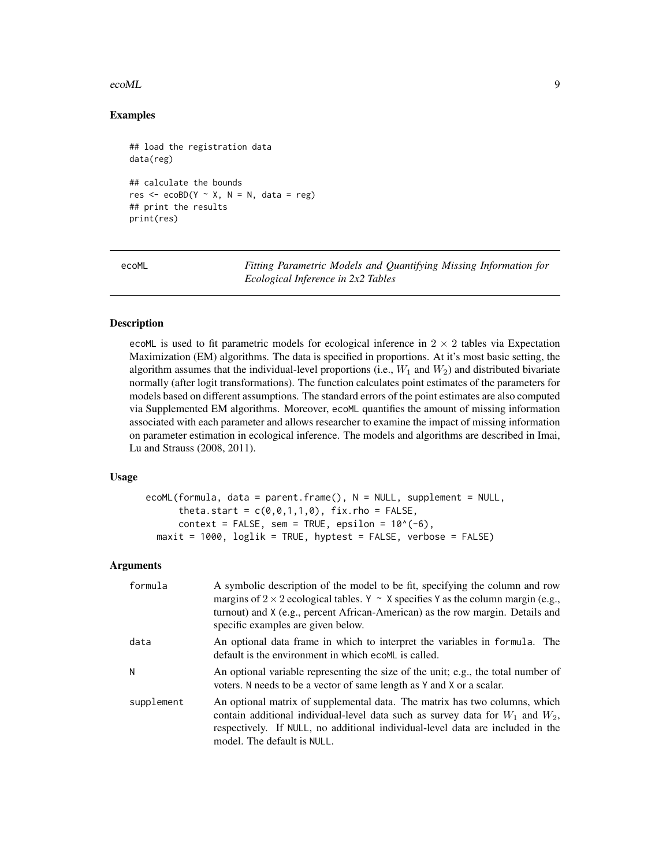# <span id="page-8-0"></span>ecoML 9

# Examples

```
## load the registration data
data(reg)
## calculate the bounds
res \leq ecoBD(Y \sim X, N = N, data = reg)
## print the results
print(res)
```
ecoML *Fitting Parametric Models and Quantifying Missing Information for Ecological Inference in 2x2 Tables*

# Description

ecoML is used to fit parametric models for ecological inference in  $2 \times 2$  tables via Expectation Maximization (EM) algorithms. The data is specified in proportions. At it's most basic setting, the algorithm assumes that the individual-level proportions (i.e.,  $W_1$  and  $W_2$ ) and distributed bivariate normally (after logit transformations). The function calculates point estimates of the parameters for models based on different assumptions. The standard errors of the point estimates are also computed via Supplemented EM algorithms. Moreover, ecoML quantifies the amount of missing information associated with each parameter and allows researcher to examine the impact of missing information on parameter estimation in ecological inference. The models and algorithms are described in Imai, Lu and Strauss (2008, 2011).

#### Usage

```
ecoML(formula, data = parent.frame(), N = NULL, supplement = NULL,
      theta.start = c(\theta, \theta, 1, 1, \theta), fix.rho = FALSE,
      context = FALSE, sem = TRUE, epsilon = 10^{\circ}(-6),
  maxit = 1000, loglik = TRUE, hyptest = FALSE, verbose = FALSE)
```
# Arguments

| formula    | A symbolic description of the model to be fit, specifying the column and row<br>margins of $2 \times 2$ ecological tables. Y ~ X specifies Y as the column margin (e.g.,<br>turnout) and X (e.g., percent African-American) as the row margin. Details and<br>specific examples are given below. |
|------------|--------------------------------------------------------------------------------------------------------------------------------------------------------------------------------------------------------------------------------------------------------------------------------------------------|
| data       | An optional data frame in which to interpret the variables in formula. The<br>default is the environment in which ecoML is called.                                                                                                                                                               |
| N          | An optional variable representing the size of the unit; e.g., the total number of<br>voters. N needs to be a vector of same length as Y and X or a scalar.                                                                                                                                       |
| supplement | An optional matrix of supplemental data. The matrix has two columns, which<br>contain additional individual-level data such as survey data for $W_1$ and $W_2$ ,<br>respectively. If NULL, no additional individual-level data are included in the<br>model. The default is NULL.                |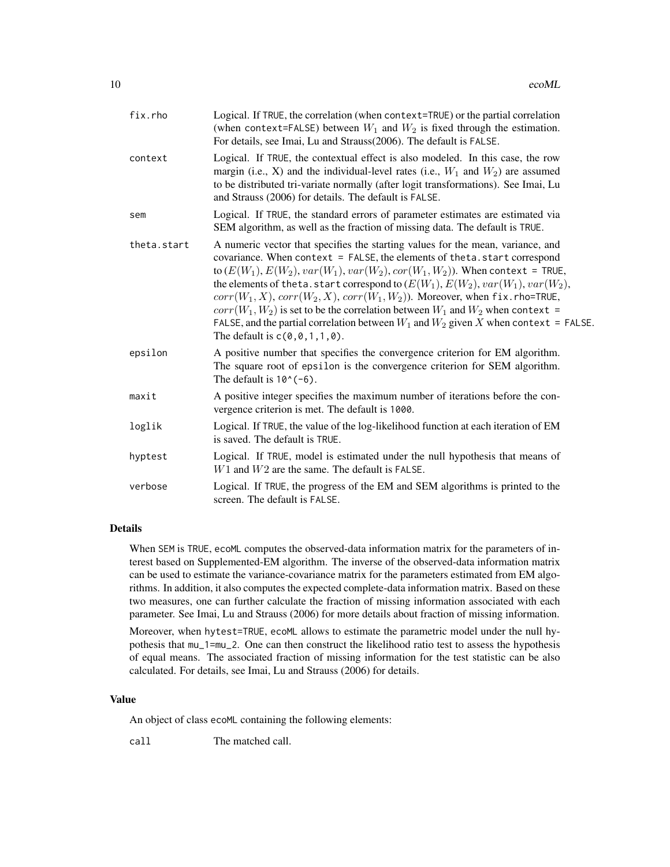| fix.rho     | Logical. If TRUE, the correlation (when context=TRUE) or the partial correlation<br>(when context=FALSE) between $W_1$ and $W_2$ is fixed through the estimation.<br>For details, see Imai, Lu and Strauss(2006). The default is FALSE.                                                                                                                                                                                                                                                                                                                                                                                                            |
|-------------|----------------------------------------------------------------------------------------------------------------------------------------------------------------------------------------------------------------------------------------------------------------------------------------------------------------------------------------------------------------------------------------------------------------------------------------------------------------------------------------------------------------------------------------------------------------------------------------------------------------------------------------------------|
| context     | Logical. If TRUE, the contextual effect is also modeled. In this case, the row<br>margin (i.e., X) and the individual-level rates (i.e., $W_1$ and $W_2$ ) are assumed<br>to be distributed tri-variate normally (after logit transformations). See Imai, Lu<br>and Strauss (2006) for details. The default is FALSE.                                                                                                                                                                                                                                                                                                                              |
| sem         | Logical. If TRUE, the standard errors of parameter estimates are estimated via<br>SEM algorithm, as well as the fraction of missing data. The default is TRUE.                                                                                                                                                                                                                                                                                                                                                                                                                                                                                     |
| theta.start | A numeric vector that specifies the starting values for the mean, variance, and<br>covariance. When $context = FALSE$ , the elements of theta. start correspond<br>to $(E(W_1), E(W_2), var(W_1), var(W_2), cor(W_1, W_2))$ . When context = TRUE,<br>the elements of theta. start correspond to $(E(W_1), E(W_2), var(W_1), var(W_2),$<br>$corr(W_1, X), corr(W_2, X), corr(W_1, W_2)$ ). Moreover, when fix.rho=TRUE,<br>$corr(W_1, W_2)$ is set to be the correlation between $W_1$ and $W_2$ when context =<br>FALSE, and the partial correlation between $W_1$ and $W_2$ given X when context = FALSE.<br>The default is $c(0, 0, 1, 1, 0)$ . |
| epsilon     | A positive number that specifies the convergence criterion for EM algorithm.<br>The square root of epsilon is the convergence criterion for SEM algorithm.<br>The default is $10^{\circ}(-6)$ .                                                                                                                                                                                                                                                                                                                                                                                                                                                    |
| maxit       | A positive integer specifies the maximum number of iterations before the con-<br>vergence criterion is met. The default is 1000.                                                                                                                                                                                                                                                                                                                                                                                                                                                                                                                   |
| loglik      | Logical. If TRUE, the value of the log-likelihood function at each iteration of EM<br>is saved. The default is TRUE.                                                                                                                                                                                                                                                                                                                                                                                                                                                                                                                               |
| hyptest     | Logical. If TRUE, model is estimated under the null hypothesis that means of<br>$W1$ and $W2$ are the same. The default is FALSE.                                                                                                                                                                                                                                                                                                                                                                                                                                                                                                                  |
| verbose     | Logical. If TRUE, the progress of the EM and SEM algorithms is printed to the<br>screen. The default is FALSE.                                                                                                                                                                                                                                                                                                                                                                                                                                                                                                                                     |

#### Details

When SEM is TRUE, ecoML computes the observed-data information matrix for the parameters of interest based on Supplemented-EM algorithm. The inverse of the observed-data information matrix can be used to estimate the variance-covariance matrix for the parameters estimated from EM algorithms. In addition, it also computes the expected complete-data information matrix. Based on these two measures, one can further calculate the fraction of missing information associated with each parameter. See Imai, Lu and Strauss (2006) for more details about fraction of missing information.

Moreover, when hytest=TRUE, ecoML allows to estimate the parametric model under the null hypothesis that mu\_1=mu\_2. One can then construct the likelihood ratio test to assess the hypothesis of equal means. The associated fraction of missing information for the test statistic can be also calculated. For details, see Imai, Lu and Strauss (2006) for details.

# Value

An object of class ecoML containing the following elements:

call The matched call.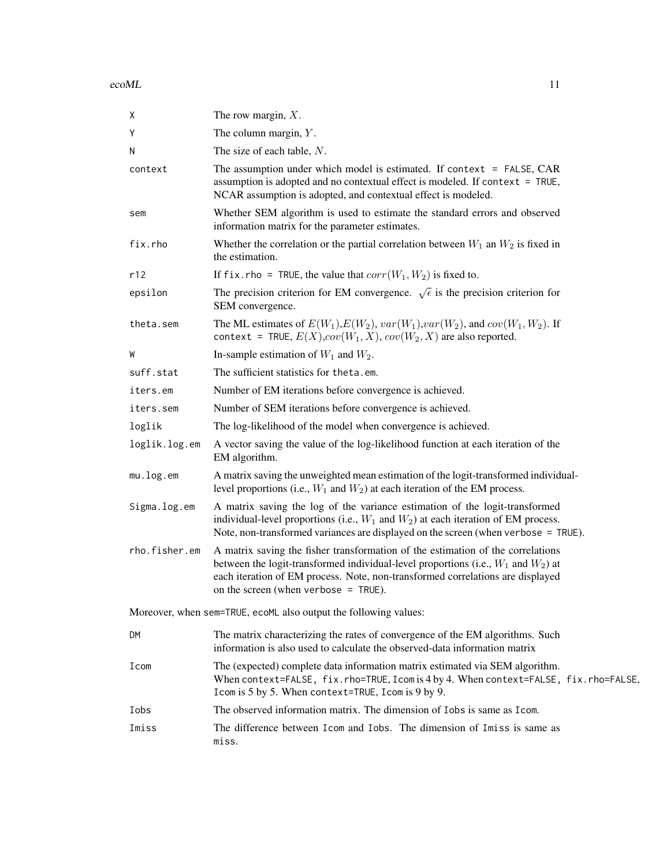ecoML and the community of the community of the community of the community of the community of the community of the community of the community of the community of the community of the community of the community of the comm

| χ             | The row margin, $X$ .                                                                                                                                                                                                                                                                                 |
|---------------|-------------------------------------------------------------------------------------------------------------------------------------------------------------------------------------------------------------------------------------------------------------------------------------------------------|
| Y             | The column margin, $Y$ .                                                                                                                                                                                                                                                                              |
| N             | The size of each table, $N$ .                                                                                                                                                                                                                                                                         |
| context       | The assumption under which model is estimated. If context $=$ FALSE, CAR<br>assumption is adopted and no contextual effect is modeled. If context = TRUE,<br>NCAR assumption is adopted, and contextual effect is modeled.                                                                            |
| sem           | Whether SEM algorithm is used to estimate the standard errors and observed<br>information matrix for the parameter estimates.                                                                                                                                                                         |
| fix.rho       | Whether the correlation or the partial correlation between $W_1$ an $W_2$ is fixed in<br>the estimation.                                                                                                                                                                                              |
| r12           | If fix. rho = TRUE, the value that $corr(W_1, W_2)$ is fixed to.                                                                                                                                                                                                                                      |
| epsilon       | The precision criterion for EM convergence. $\sqrt{\epsilon}$ is the precision criterion for<br>SEM convergence.                                                                                                                                                                                      |
| theta.sem     | The ML estimates of $E(W_1), E(W_2), var(W_1), var(W_2)$ , and $cov(W_1, W_2)$ . If<br>context = TRUE, $E(X)$ , $cov(W_1, X)$ , $cov(W_2, X)$ are also reported.                                                                                                                                      |
| W             | In-sample estimation of $W_1$ and $W_2$ .                                                                                                                                                                                                                                                             |
| suff.stat     | The sufficient statistics for theta.em.                                                                                                                                                                                                                                                               |
| iters.em      | Number of EM iterations before convergence is achieved.                                                                                                                                                                                                                                               |
| iters.sem     | Number of SEM iterations before convergence is achieved.                                                                                                                                                                                                                                              |
| loglik        | The log-likelihood of the model when convergence is achieved.                                                                                                                                                                                                                                         |
| loglik.log.em | A vector saving the value of the log-likelihood function at each iteration of the<br>EM algorithm.                                                                                                                                                                                                    |
| mu.log.em     | A matrix saving the unweighted mean estimation of the logit-transformed individual-<br>level proportions (i.e., $W_1$ and $W_2$ ) at each iteration of the EM process.                                                                                                                                |
| Sigma.log.em  | A matrix saving the log of the variance estimation of the logit-transformed<br>individual-level proportions (i.e., $W_1$ and $W_2$ ) at each iteration of EM process.<br>Note, non-transformed variances are displayed on the screen (when verbose = TRUE).                                           |
| rho.fisher.em | A matrix saving the fisher transformation of the estimation of the correlations<br>between the logit-transformed individual-level proportions (i.e., $W_1$ and $W_2$ ) at<br>each iteration of EM process. Note, non-transformed correlations are displayed<br>on the screen (when verbose $=$ TRUE). |
|               | Moreover, when sem=TRUE, ecoML also output the following values:                                                                                                                                                                                                                                      |
| DM            | The matrix characterizing the rates of convergence of the EM algorithms. Such<br>information is also used to calculate the observed-data information matrix                                                                                                                                           |
| Icom          | The (expected) complete data information matrix estimated via SEM algorithm.<br>When context=FALSE, fix.rho=TRUE, Icom is 4 by 4. When context=FALSE, fix.rho=FALSE,<br>Icom is 5 by 5. When context=TRUE, Icom is 9 by 9.                                                                            |
| Iobs          | The observed information matrix. The dimension of Iobs is same as I com.                                                                                                                                                                                                                              |
| Imiss         | The difference between I com and I obs. The dimension of I miss is same as<br>miss.                                                                                                                                                                                                                   |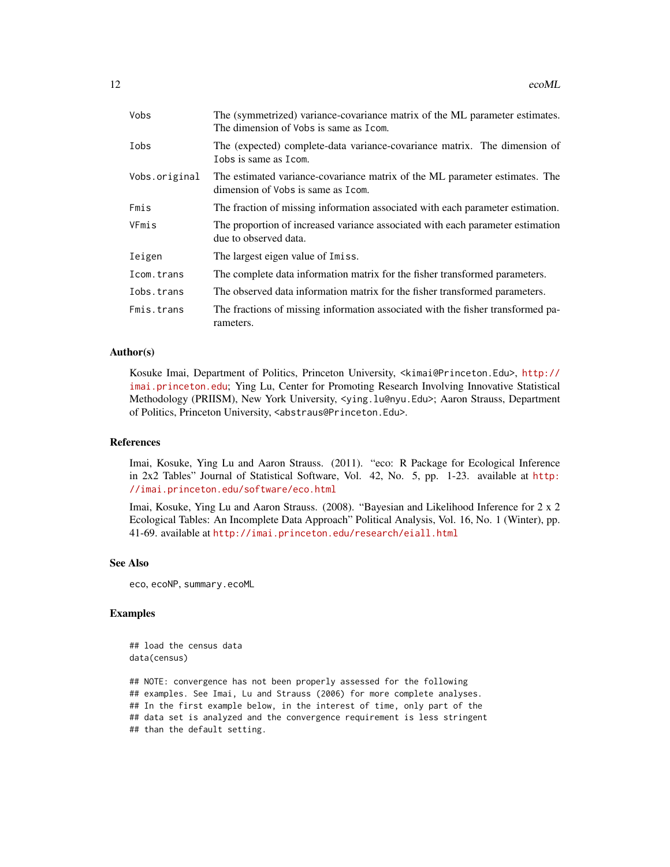| Vobs          | The (symmetrized) variance-covariance matrix of the ML parameter estimates.<br>The dimension of Vobs is same as I com. |  |
|---------------|------------------------------------------------------------------------------------------------------------------------|--|
| Iobs          | The (expected) complete-data variance-covariance matrix. The dimension of<br>Tobs is same as Icom.                     |  |
| Vobs.original | The estimated variance-covariance matrix of the ML parameter estimates. The<br>dimension of Vobs is same as I com.     |  |
| Fmis          | The fraction of missing information associated with each parameter estimation.                                         |  |
| VFmis         | The proportion of increased variance associated with each parameter estimation<br>due to observed data.                |  |
| Ieigen        | The largest eigen value of Imiss.                                                                                      |  |
| Icom.trans    | The complete data information matrix for the fisher transformed parameters.                                            |  |
| Iobs.trans    | The observed data information matrix for the fisher transformed parameters.                                            |  |
| Fmis.trans    | The fractions of missing information associated with the fisher transformed pa-<br>rameters.                           |  |

### Author(s)

Kosuke Imai, Department of Politics, Princeton University, <kimai@Princeton.Edu>, [http://](http://imai.princeton.edu) [imai.princeton.edu](http://imai.princeton.edu); Ying Lu, Center for Promoting Research Involving Innovative Statistical Methodology (PRIISM), New York University, <ying.lu@nyu.Edu>; Aaron Strauss, Department of Politics, Princeton University, <abstraus@Princeton.Edu>.

#### References

Imai, Kosuke, Ying Lu and Aaron Strauss. (2011). "eco: R Package for Ecological Inference in 2x2 Tables" Journal of Statistical Software, Vol. 42, No. 5, pp. 1-23. available at [http:](http://imai.princeton.edu/software/eco.html) [//imai.princeton.edu/software/eco.html](http://imai.princeton.edu/software/eco.html)

Imai, Kosuke, Ying Lu and Aaron Strauss. (2008). "Bayesian and Likelihood Inference for 2 x 2 Ecological Tables: An Incomplete Data Approach" Political Analysis, Vol. 16, No. 1 (Winter), pp. 41-69. available at <http://imai.princeton.edu/research/eiall.html>

# See Also

eco, ecoNP, summary.ecoML

# Examples

## load the census data data(census)

## NOTE: convergence has not been properly assessed for the following ## examples. See Imai, Lu and Strauss (2006) for more complete analyses. ## In the first example below, in the interest of time, only part of the ## data set is analyzed and the convergence requirement is less stringent ## than the default setting.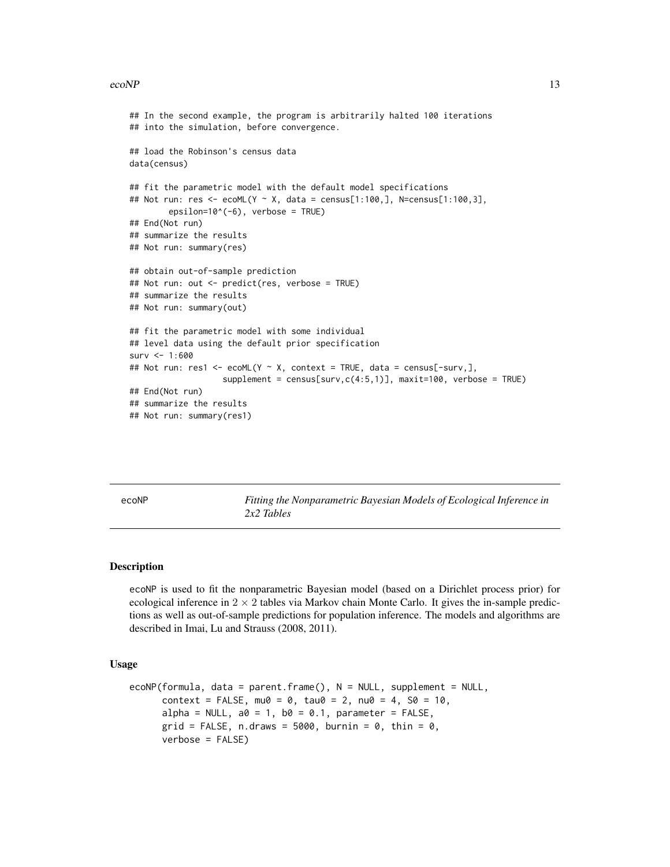#### <span id="page-12-0"></span> $e^{\cos(NP)}$  13

```
## In the second example, the program is arbitrarily halted 100 iterations
## into the simulation, before convergence.
## load the Robinson's census data
data(census)
## fit the parametric model with the default model specifications
## Not run: res <- ecoML(Y ~ X, data = census[1:100,], N=census[1:100,3],
        epsilon = TRUE), verbose = TRUE)
## End(Not run)
## summarize the results
## Not run: summary(res)
## obtain out-of-sample prediction
## Not run: out <- predict(res, verbose = TRUE)
## summarize the results
## Not run: summary(out)
## fit the parametric model with some individual
## level data using the default prior specification
surv < -1:600## Not run: res1 <- ecoML(Y ~ X, context = TRUE, data = census[-surv,],
                   supplement = census[surv, c(4:5,1)], maxit=100, verbose = TRUE)## End(Not run)
## summarize the results
## Not run: summary(res1)
```
ecoNP *Fitting the Nonparametric Bayesian Models of Ecological Inference in 2x2 Tables*

# Description

ecoNP is used to fit the nonparametric Bayesian model (based on a Dirichlet process prior) for ecological inference in  $2 \times 2$  tables via Markov chain Monte Carlo. It gives the in-sample predictions as well as out-of-sample predictions for population inference. The models and algorithms are described in Imai, Lu and Strauss (2008, 2011).

#### Usage

```
ecoNP(formula, data = parent.frame(), N = NULL, supplement = NULL,
     context = FALSE, mu0 = 0, tau0 = 2, nu0 = 4, SO = 10,alpha = NULL, a0 = 1, b0 = 0.1, parameter = FALSE,
     grid = FALSE, n.draws = 5000, burnin = 0, thin = 0,verbose = FALSE)
```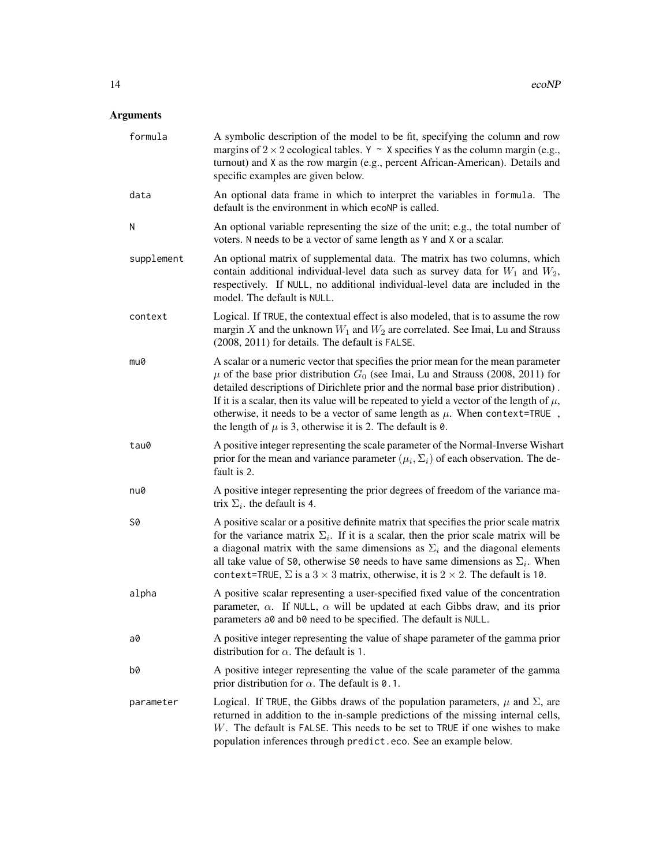# Arguments

| formula    | A symbolic description of the model to be fit, specifying the column and row<br>margins of $2 \times 2$ ecological tables. Y ~ X specifies Y as the column margin (e.g.,<br>turnout) and X as the row margin (e.g., percent African-American). Details and<br>specific examples are given below.                                                                                                                                                                                                                       |
|------------|------------------------------------------------------------------------------------------------------------------------------------------------------------------------------------------------------------------------------------------------------------------------------------------------------------------------------------------------------------------------------------------------------------------------------------------------------------------------------------------------------------------------|
| data       | An optional data frame in which to interpret the variables in formula. The<br>default is the environment in which ecoNP is called.                                                                                                                                                                                                                                                                                                                                                                                     |
| Ν          | An optional variable representing the size of the unit; e.g., the total number of<br>voters. N needs to be a vector of same length as Y and X or a scalar.                                                                                                                                                                                                                                                                                                                                                             |
| supplement | An optional matrix of supplemental data. The matrix has two columns, which<br>contain additional individual-level data such as survey data for $W_1$ and $W_2$ ,<br>respectively. If NULL, no additional individual-level data are included in the<br>model. The default is NULL.                                                                                                                                                                                                                                      |
| context    | Logical. If TRUE, the contextual effect is also modeled, that is to assume the row<br>margin X and the unknown $W_1$ and $W_2$ are correlated. See Imai, Lu and Strauss<br>(2008, 2011) for details. The default is FALSE.                                                                                                                                                                                                                                                                                             |
| mu0        | A scalar or a numeric vector that specifies the prior mean for the mean parameter<br>$\mu$ of the base prior distribution $G_0$ (see Imai, Lu and Strauss (2008, 2011) for<br>detailed descriptions of Dirichlete prior and the normal base prior distribution).<br>If it is a scalar, then its value will be repeated to yield a vector of the length of $\mu$ ,<br>otherwise, it needs to be a vector of same length as $\mu$ . When context=TRUE,<br>the length of $\mu$ is 3, otherwise it is 2. The default is 0. |
| tau0       | A positive integer representing the scale parameter of the Normal-Inverse Wishart<br>prior for the mean and variance parameter $(\mu_i, \Sigma_i)$ of each observation. The de-<br>fault is 2.                                                                                                                                                                                                                                                                                                                         |
| nu0        | A positive integer representing the prior degrees of freedom of the variance ma-<br>trix $\Sigma_i$ , the default is 4.                                                                                                                                                                                                                                                                                                                                                                                                |
| S0         | A positive scalar or a positive definite matrix that specifies the prior scale matrix<br>for the variance matrix $\Sigma_i$ . If it is a scalar, then the prior scale matrix will be<br>a diagonal matrix with the same dimensions as $\Sigma_i$ and the diagonal elements<br>all take value of S0, otherwise S0 needs to have same dimensions as $\Sigma_i$ . When<br>context=TRUE, $\Sigma$ is a 3 $\times$ 3 matrix, otherwise, it is 2 $\times$ 2. The default is 10.                                              |
| alpha      | A positive scalar representing a user-specified fixed value of the concentration<br>parameter, $\alpha$ . If NULL, $\alpha$ will be updated at each Gibbs draw, and its prior<br>parameters a0 and b0 need to be specified. The default is NULL.                                                                                                                                                                                                                                                                       |
| a0         | A positive integer representing the value of shape parameter of the gamma prior<br>distribution for $\alpha$ . The default is 1.                                                                                                                                                                                                                                                                                                                                                                                       |
| b0         | A positive integer representing the value of the scale parameter of the gamma<br>prior distribution for $\alpha$ . The default is 0.1.                                                                                                                                                                                                                                                                                                                                                                                 |
| parameter  | Logical. If TRUE, the Gibbs draws of the population parameters, $\mu$ and $\Sigma$ , are<br>returned in addition to the in-sample predictions of the missing internal cells,<br>W. The default is FALSE. This needs to be set to TRUE if one wishes to make<br>population inferences through predict.eco. See an example below.                                                                                                                                                                                        |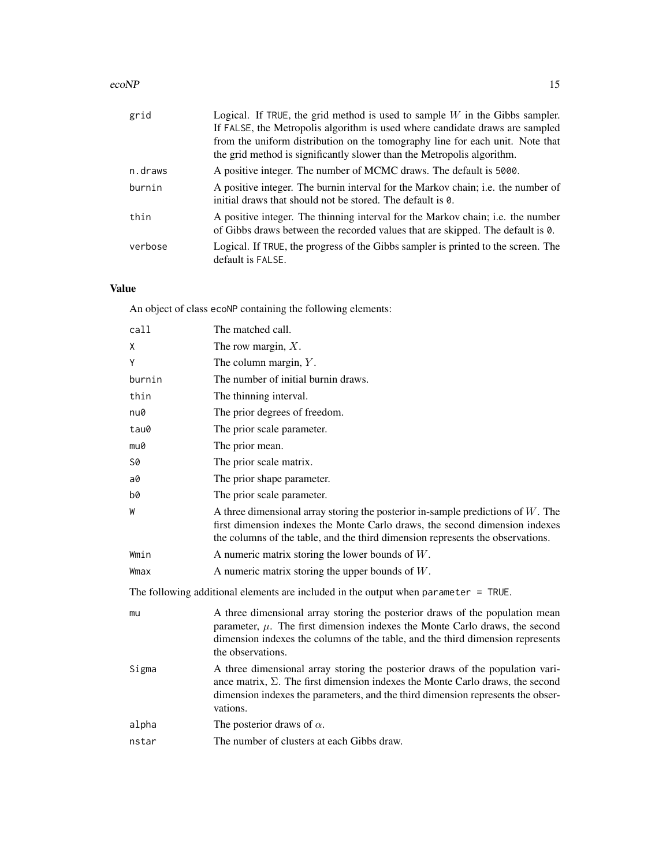# $e^{\cos(NP)}$  15

| grid    | Logical. If TRUE, the grid method is used to sample $W$ in the Gibbs sampler.<br>If FALSE, the Metropolis algorithm is used where candidate draws are sampled     |
|---------|-------------------------------------------------------------------------------------------------------------------------------------------------------------------|
|         | from the uniform distribution on the tomography line for each unit. Note that<br>the grid method is significantly slower than the Metropolis algorithm.           |
| n.draws | A positive integer. The number of MCMC draws. The default is 5000.                                                                                                |
| burnin  | A positive integer. The burnin interval for the Markov chain; i.e. the number of<br>initial draws that should not be stored. The default is 0.                    |
| thin    | A positive integer. The thinning interval for the Markov chain; i.e. the number<br>of Gibbs draws between the recorded values that are skipped. The default is 0. |
| verbose | Logical. If TRUE, the progress of the Gibbs sampler is printed to the screen. The<br>default is FALSE.                                                            |

# Value

An object of class ecoNP containing the following elements:

| call      | The matched call.                                                                                                                                                                                                                                                       |
|-----------|-------------------------------------------------------------------------------------------------------------------------------------------------------------------------------------------------------------------------------------------------------------------------|
| χ         | The row margin, $X$ .                                                                                                                                                                                                                                                   |
| Υ         | The column margin, $Y$ .                                                                                                                                                                                                                                                |
| burnin    | The number of initial burnin draws.                                                                                                                                                                                                                                     |
| thin      | The thinning interval.                                                                                                                                                                                                                                                  |
| nu0       | The prior degrees of freedom.                                                                                                                                                                                                                                           |
| tau0      | The prior scale parameter.                                                                                                                                                                                                                                              |
| mu0       | The prior mean.                                                                                                                                                                                                                                                         |
| <b>S0</b> | The prior scale matrix.                                                                                                                                                                                                                                                 |
| a0        | The prior shape parameter.                                                                                                                                                                                                                                              |
| b0        | The prior scale parameter.                                                                                                                                                                                                                                              |
| W         | A three dimensional array storing the posterior in-sample predictions of $W$ . The<br>first dimension indexes the Monte Carlo draws, the second dimension indexes<br>the columns of the table, and the third dimension represents the observations.                     |
| Wmin      | A numeric matrix storing the lower bounds of $W$ .                                                                                                                                                                                                                      |
| Wmax      | A numeric matrix storing the upper bounds of $W$ .                                                                                                                                                                                                                      |
|           | The following additional elements are included in the output when parameter $=$ TRUE.                                                                                                                                                                                   |
| mu        | A three dimensional array storing the posterior draws of the population mean<br>parameter, $\mu$ . The first dimension indexes the Monte Carlo draws, the second<br>dimension indexes the columns of the table, and the third dimension represents<br>the observations. |
| Sigma     | A three dimensional array storing the posterior draws of the population vari-<br>ance matrix, $\Sigma$ . The first dimension indexes the Monte Carlo draws, the second<br>dimension indexes the parameters, and the third dimension represents the obser-<br>vations.   |
| alpha     | The posterior draws of $\alpha$ .                                                                                                                                                                                                                                       |
| nstar     | The number of clusters at each Gibbs draw.                                                                                                                                                                                                                              |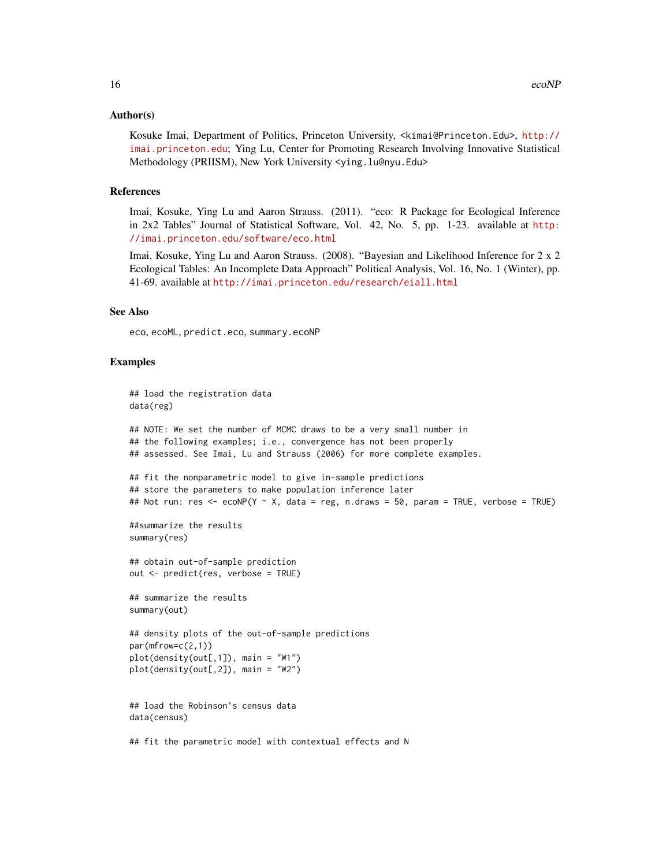#### Author(s)

Kosuke Imai, Department of Politics, Princeton University, <kimai@Princeton.Edu>, [http://](http://imai.princeton.edu) [imai.princeton.edu](http://imai.princeton.edu); Ying Lu, Center for Promoting Research Involving Innovative Statistical Methodology (PRIISM), New York University <ying.lu@nyu.Edu>

# References

Imai, Kosuke, Ying Lu and Aaron Strauss. (2011). "eco: R Package for Ecological Inference in 2x2 Tables" Journal of Statistical Software, Vol. 42, No. 5, pp. 1-23. available at [http:](http://imai.princeton.edu/software/eco.html) [//imai.princeton.edu/software/eco.html](http://imai.princeton.edu/software/eco.html)

Imai, Kosuke, Ying Lu and Aaron Strauss. (2008). "Bayesian and Likelihood Inference for 2 x 2 Ecological Tables: An Incomplete Data Approach" Political Analysis, Vol. 16, No. 1 (Winter), pp. 41-69. available at <http://imai.princeton.edu/research/eiall.html>

#### See Also

eco, ecoML, predict.eco, summary.ecoNP

# Examples

```
## load the registration data
data(reg)
## NOTE: We set the number of MCMC draws to be a very small number in
## the following examples; i.e., convergence has not been properly
## assessed. See Imai, Lu and Strauss (2006) for more complete examples.
## fit the nonparametric model to give in-sample predictions
## store the parameters to make population inference later
## Not run: res <- ecoNP(Y ~ X, data = reg, n.draws = 50, param = TRUE, verbose = TRUE)
##summarize the results
summary(res)
## obtain out-of-sample prediction
out <- predict(res, verbose = TRUE)
## summarize the results
summary(out)
## density plots of the out-of-sample predictions
par(mfrow=c(2,1))
plot(density(out[,1]), main = "W1")
plot(density(out[,2]), main = "W2")
## load the Robinson's census data
data(census)
## fit the parametric model with contextual effects and N
```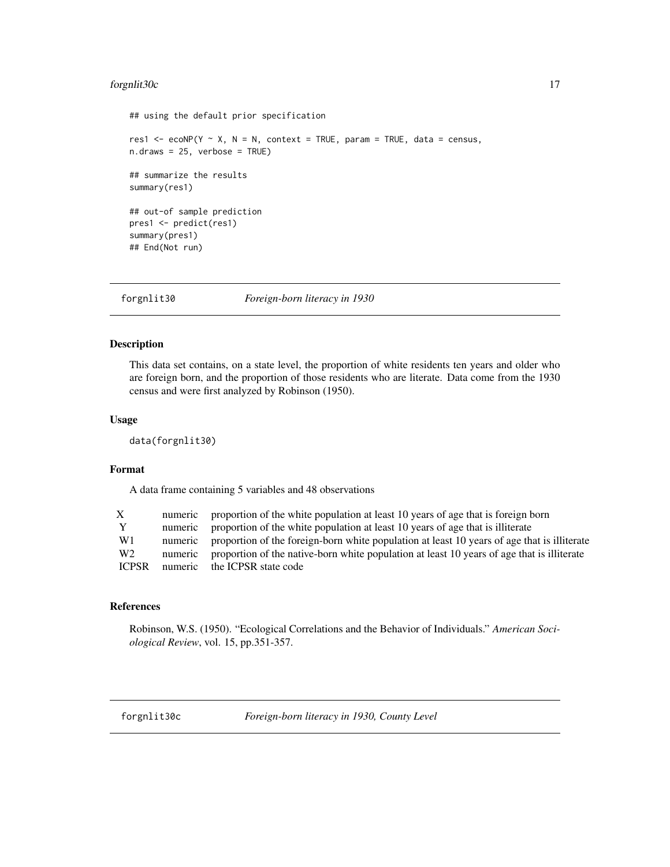# <span id="page-16-0"></span>forgnlit30c 17

```
## using the default prior specification
res1 <- ecoNP(Y \sim X, N = N, context = TRUE, param = TRUE, data = census,
n.draws = 25, verbose = TRUE)
## summarize the results
summary(res1)
## out-of sample prediction
pres1 <- predict(res1)
summary(pres1)
## End(Not run)
```
forgnlit30 *Foreign-born literacy in 1930*

# Description

This data set contains, on a state level, the proportion of white residents ten years and older who are foreign born, and the proportion of those residents who are literate. Data come from the 1930 census and were first analyzed by Robinson (1950).

# Usage

data(forgnlit30)

# Format

A data frame containing 5 variables and 48 observations

| X              |         | numeric proportion of the white population at least 10 years of age that is foreign born    |
|----------------|---------|---------------------------------------------------------------------------------------------|
| Y              | numeric | proportion of the white population at least 10 years of age that is illiterate              |
| W1             | numeric | proportion of the foreign-born white population at least 10 years of age that is illiterate |
| W <sub>2</sub> | numeric | proportion of the native-born white population at least 10 years of age that is illiterate  |
| <b>ICPSR</b>   | numeric | the ICPSR state code                                                                        |
|                |         |                                                                                             |

#### References

Robinson, W.S. (1950). "Ecological Correlations and the Behavior of Individuals." *American Sociological Review*, vol. 15, pp.351-357.

forgnlit30c *Foreign-born literacy in 1930, County Level*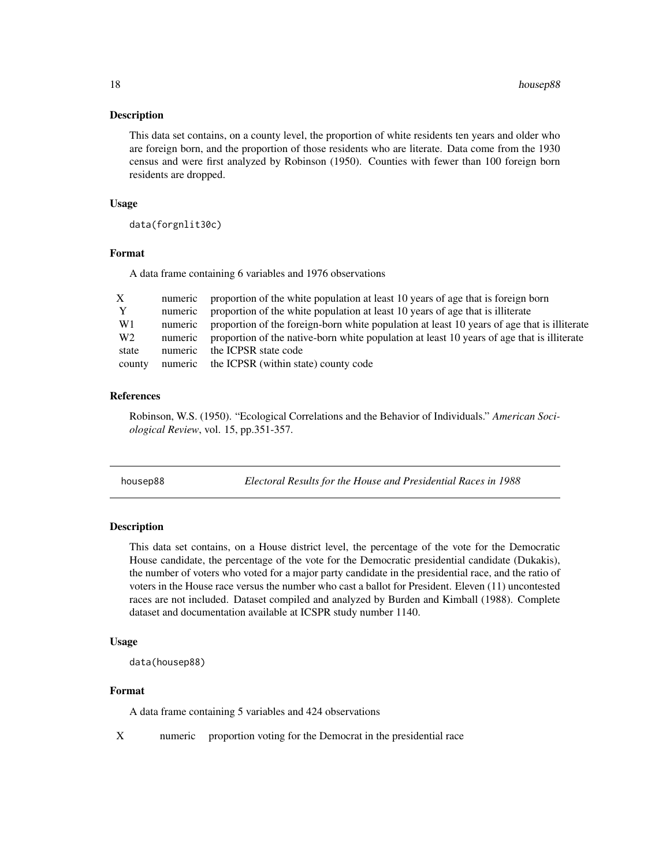#### <span id="page-17-0"></span>Description

This data set contains, on a county level, the proportion of white residents ten years and older who are foreign born, and the proportion of those residents who are literate. Data come from the 1930 census and were first analyzed by Robinson (1950). Counties with fewer than 100 foreign born residents are dropped.

# Usage

data(forgnlit30c)

#### Format

A data frame containing 6 variables and 1976 observations

| X              | numeric | proportion of the white population at least 10 years of age that is foreign born            |
|----------------|---------|---------------------------------------------------------------------------------------------|
| Y              | numeric | proportion of the white population at least 10 years of age that is illiterate              |
| W1             | numeric | proportion of the foreign-born white population at least 10 years of age that is illiterate |
| W <sub>2</sub> | numeric | proportion of the native-born white population at least 10 years of age that is illiterate  |
| state          | numeric | the ICPSR state code                                                                        |
| county         | numeric | the ICPSR (within state) county code                                                        |

# References

Robinson, W.S. (1950). "Ecological Correlations and the Behavior of Individuals." *American Sociological Review*, vol. 15, pp.351-357.

housep88 *Electoral Results for the House and Presidential Races in 1988*

#### Description

This data set contains, on a House district level, the percentage of the vote for the Democratic House candidate, the percentage of the vote for the Democratic presidential candidate (Dukakis), the number of voters who voted for a major party candidate in the presidential race, and the ratio of voters in the House race versus the number who cast a ballot for President. Eleven (11) uncontested races are not included. Dataset compiled and analyzed by Burden and Kimball (1988). Complete dataset and documentation available at ICSPR study number 1140.

#### Usage

```
data(housep88)
```
#### Format

A data frame containing 5 variables and 424 observations

X numeric proportion voting for the Democrat in the presidential race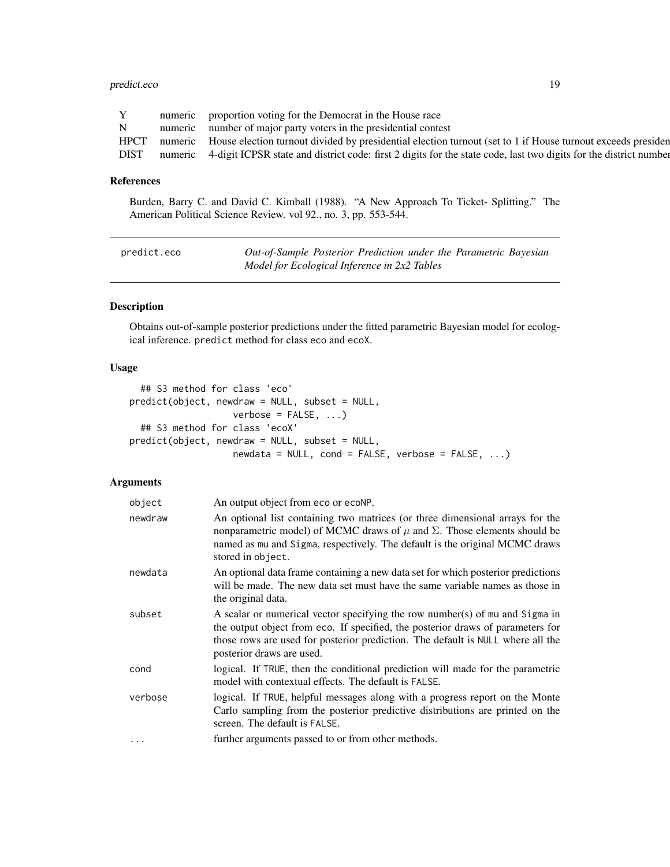# <span id="page-18-0"></span>predict.eco 19

|             |         | numeric proportion voting for the Democrat in the House race                                                        |
|-------------|---------|---------------------------------------------------------------------------------------------------------------------|
| $N_{\rm}$   |         | numeric number of major party voters in the presidential contest                                                    |
| <b>HPCT</b> |         | numeric House election turnout divided by presidential election turnout (set to 1 if House turnout exceeds presiden |
| <b>DIST</b> | numeric | 4-digit ICPSR state and district code: first 2 digits for the state code, last two digits for the district number   |

# References

Burden, Barry C. and David C. Kimball (1988). "A New Approach To Ticket- Splitting." The American Political Science Review. vol 92., no. 3, pp. 553-544.

| predict.eco | Out-of-Sample Posterior Prediction under the Parametric Bayesian |
|-------------|------------------------------------------------------------------|
|             | Model for Ecological Inference in 2x2 Tables                     |

# Description

Obtains out-of-sample posterior predictions under the fitted parametric Bayesian model for ecological inference. predict method for class eco and ecoX.

# Usage

```
## S3 method for class 'eco'
predict(object, newdraw = NULL, subset = NULL,
                  verbose = FALSE, ...## S3 method for class 'ecoX'
predict(object, newdraw = NULL, subset = NULL,
                  newdata = NULL, cond = FALSE, verbose = FALSE, ...
```
# Arguments

| object   | An output object from eco or ecoNP.                                                                                                                                                                                                                                             |
|----------|---------------------------------------------------------------------------------------------------------------------------------------------------------------------------------------------------------------------------------------------------------------------------------|
| newdraw  | An optional list containing two matrices (or three dimensional arrays for the<br>nonparametric model) of MCMC draws of $\mu$ and $\Sigma$ . Those elements should be<br>named as mu and Sigma, respectively. The default is the original MCMC draws<br>stored in object.        |
| newdata  | An optional data frame containing a new data set for which posterior predictions<br>will be made. The new data set must have the same variable names as those in<br>the original data.                                                                                          |
| subset   | A scalar or numerical vector specifying the row number(s) of mu and Sigma in<br>the output object from eco. If specified, the posterior draws of parameters for<br>those rows are used for posterior prediction. The default is NULL where all the<br>posterior draws are used. |
| cond     | logical. If TRUE, then the conditional prediction will made for the parametric<br>model with contextual effects. The default is FALSE.                                                                                                                                          |
| verbose  | logical. If TRUE, helpful messages along with a progress report on the Monte<br>Carlo sampling from the posterior predictive distributions are printed on the<br>screen. The default is FALSE.                                                                                  |
| $\ddots$ | further arguments passed to or from other methods.                                                                                                                                                                                                                              |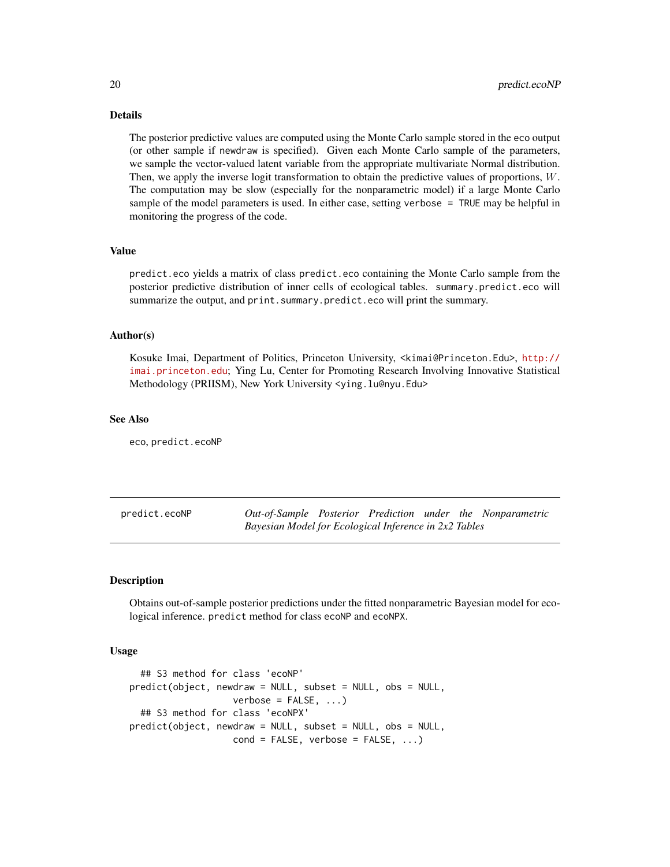# <span id="page-19-0"></span>Details

The posterior predictive values are computed using the Monte Carlo sample stored in the eco output (or other sample if newdraw is specified). Given each Monte Carlo sample of the parameters, we sample the vector-valued latent variable from the appropriate multivariate Normal distribution. Then, we apply the inverse logit transformation to obtain the predictive values of proportions, W. The computation may be slow (especially for the nonparametric model) if a large Monte Carlo sample of the model parameters is used. In either case, setting verbose = TRUE may be helpful in monitoring the progress of the code.

# Value

predict.eco yields a matrix of class predict.eco containing the Monte Carlo sample from the posterior predictive distribution of inner cells of ecological tables. summary.predict.eco will summarize the output, and print.summary.predict.eco will print the summary.

# Author(s)

Kosuke Imai, Department of Politics, Princeton University, <kimai@Princeton.Edu>, [http://](http://imai.princeton.edu) [imai.princeton.edu](http://imai.princeton.edu); Ying Lu, Center for Promoting Research Involving Innovative Statistical Methodology (PRIISM), New York University <ying.lu@nyu.Edu>

#### See Also

eco, predict.ecoNP

predict.ecoNP *Out-of-Sample Posterior Prediction under the Nonparametric Bayesian Model for Ecological Inference in 2x2 Tables*

#### **Description**

Obtains out-of-sample posterior predictions under the fitted nonparametric Bayesian model for ecological inference. predict method for class ecoNP and ecoNPX.

# Usage

```
## S3 method for class 'ecoNP'
predict(object, newdraw = NULL, subset = NULL, obs = NULL,
                   verbose = FALSE, ...)## S3 method for class 'ecoNPX'
predict(object, newdraw = NULL, subset = NULL, obs = NULL,
                   cond = FALSE, verbose = FALSE, ...)
```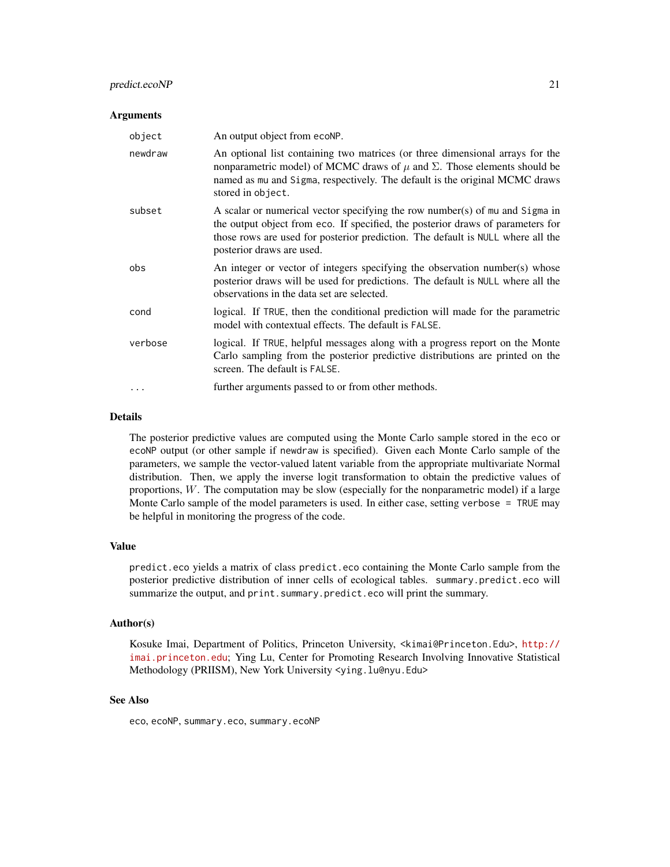# predict.ecoNP 21

#### Arguments

| object  | An output object from ecoNP.                                                                                                                                                                                                                                                    |
|---------|---------------------------------------------------------------------------------------------------------------------------------------------------------------------------------------------------------------------------------------------------------------------------------|
| newdraw | An optional list containing two matrices (or three dimensional arrays for the<br>nonparametric model) of MCMC draws of $\mu$ and $\Sigma$ . Those elements should be<br>named as mu and Sigma, respectively. The default is the original MCMC draws<br>stored in object.        |
| subset  | A scalar or numerical vector specifying the row number(s) of mu and Sigma in<br>the output object from eco. If specified, the posterior draws of parameters for<br>those rows are used for posterior prediction. The default is NULL where all the<br>posterior draws are used. |
| obs     | An integer or vector of integers specifying the observation number(s) whose<br>posterior draws will be used for predictions. The default is NULL where all the<br>observations in the data set are selected.                                                                    |
| cond    | logical. If TRUE, then the conditional prediction will made for the parametric<br>model with contextual effects. The default is FALSE.                                                                                                                                          |
| verbose | logical. If TRUE, helpful messages along with a progress report on the Monte<br>Carlo sampling from the posterior predictive distributions are printed on the<br>screen. The default is FALSE.                                                                                  |
|         | further arguments passed to or from other methods.                                                                                                                                                                                                                              |

# Details

The posterior predictive values are computed using the Monte Carlo sample stored in the eco or ecoNP output (or other sample if newdraw is specified). Given each Monte Carlo sample of the parameters, we sample the vector-valued latent variable from the appropriate multivariate Normal distribution. Then, we apply the inverse logit transformation to obtain the predictive values of proportions,  $W$ . The computation may be slow (especially for the nonparametric model) if a large Monte Carlo sample of the model parameters is used. In either case, setting verbose = TRUE may be helpful in monitoring the progress of the code.

#### Value

predict.eco yields a matrix of class predict.eco containing the Monte Carlo sample from the posterior predictive distribution of inner cells of ecological tables. summary.predict.eco will summarize the output, and print.summary.predict.eco will print the summary.

#### Author(s)

Kosuke Imai, Department of Politics, Princeton University, <kimai@Princeton.Edu>, [http://](http://imai.princeton.edu) [imai.princeton.edu](http://imai.princeton.edu); Ying Lu, Center for Promoting Research Involving Innovative Statistical Methodology (PRIISM), New York University <ying.lu@nyu.Edu>

# See Also

eco, ecoNP, summary.eco, summary.ecoNP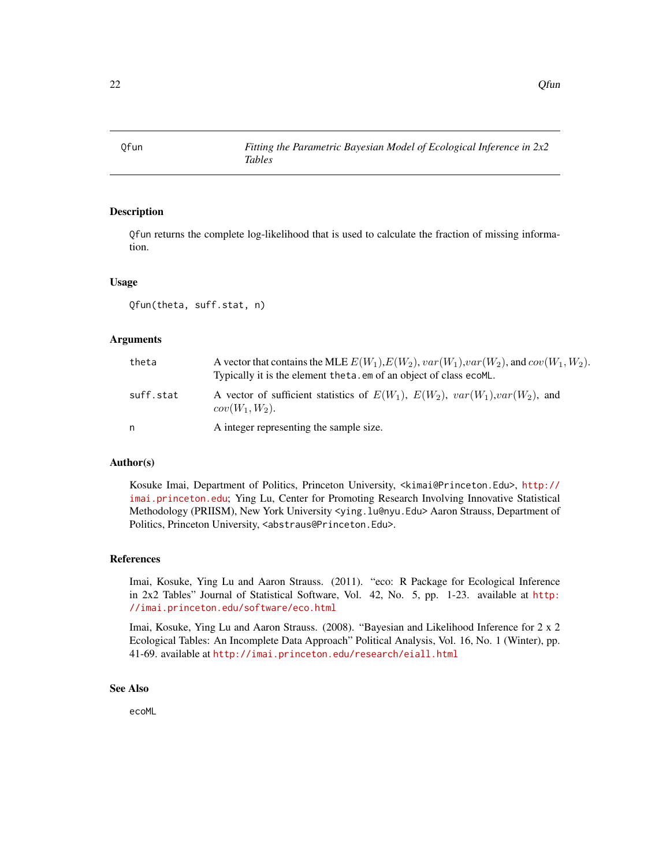<span id="page-21-0"></span>

# Description

Qfun returns the complete log-likelihood that is used to calculate the fraction of missing information.

#### Usage

```
Qfun(theta, suff.stat, n)
```
#### Arguments

| theta     | A vector that contains the MLE $E(W_1), E(W_2), var(W_1), var(W_2)$ , and $cov(W_1, W_2)$ .<br>Typically it is the element theta. em of an object of class ecoML. |
|-----------|-------------------------------------------------------------------------------------------------------------------------------------------------------------------|
| suff.stat | A vector of sufficient statistics of $E(W_1)$ , $E(W_2)$ , $var(W_1)$ , $var(W_2)$ , and<br>$cov(W_1, W_2)$ .                                                     |
| n         | A integer representing the sample size.                                                                                                                           |

# Author(s)

Kosuke Imai, Department of Politics, Princeton University, <kimai@Princeton.Edu>, [http://](http://imai.princeton.edu) [imai.princeton.edu](http://imai.princeton.edu); Ying Lu, Center for Promoting Research Involving Innovative Statistical Methodology (PRIISM), New York University <ying.lu@nyu.Edu> Aaron Strauss, Department of Politics, Princeton University, <abstraus@Princeton.Edu>.

# References

Imai, Kosuke, Ying Lu and Aaron Strauss. (2011). "eco: R Package for Ecological Inference in 2x2 Tables" Journal of Statistical Software, Vol. 42, No. 5, pp. 1-23. available at [http:](http://imai.princeton.edu/software/eco.html) [//imai.princeton.edu/software/eco.html](http://imai.princeton.edu/software/eco.html)

Imai, Kosuke, Ying Lu and Aaron Strauss. (2008). "Bayesian and Likelihood Inference for 2 x 2 Ecological Tables: An Incomplete Data Approach" Political Analysis, Vol. 16, No. 1 (Winter), pp. 41-69. available at <http://imai.princeton.edu/research/eiall.html>

# See Also

ecoML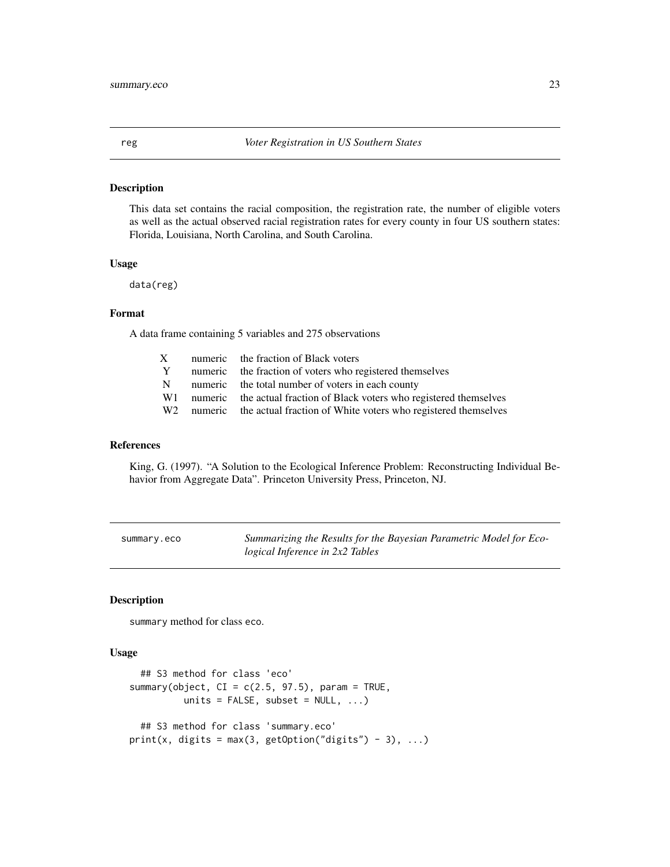<span id="page-22-0"></span>

# Description

This data set contains the racial composition, the registration rate, the number of eligible voters as well as the actual observed racial registration rates for every county in four US southern states: Florida, Louisiana, North Carolina, and South Carolina.

# Usage

data(reg)

# Format

A data frame containing 5 variables and 275 observations

|     | X numeric the fraction of Black voters                                               |
|-----|--------------------------------------------------------------------------------------|
| Y   | numeric the fraction of voters who registered themselves                             |
| N = | numeric the total number of voters in each county                                    |
|     | W <sub>1</sub> numeric the actual fraction of Black voters who registered themselves |
|     | W <sub>2</sub> numeric the actual fraction of White voters who registered themselves |
|     |                                                                                      |

# References

King, G. (1997). "A Solution to the Ecological Inference Problem: Reconstructing Individual Behavior from Aggregate Data". Princeton University Press, Princeton, NJ.

| summary.eco |  |  |
|-------------|--|--|
|-------------|--|--|

Summarizing the Results for the Bayesian Parametric Model for Eco*logical Inference in 2x2 Tables*

# Description

summary method for class eco.

#### Usage

```
## S3 method for class 'eco'
summary(object, CI = c(2.5, 97.5), param = TRUE,
         units = FALSE, subset = NULL, ...## S3 method for class 'summary.eco'
print(x, digits = max(3, getOption("digits") - 3), ...)
```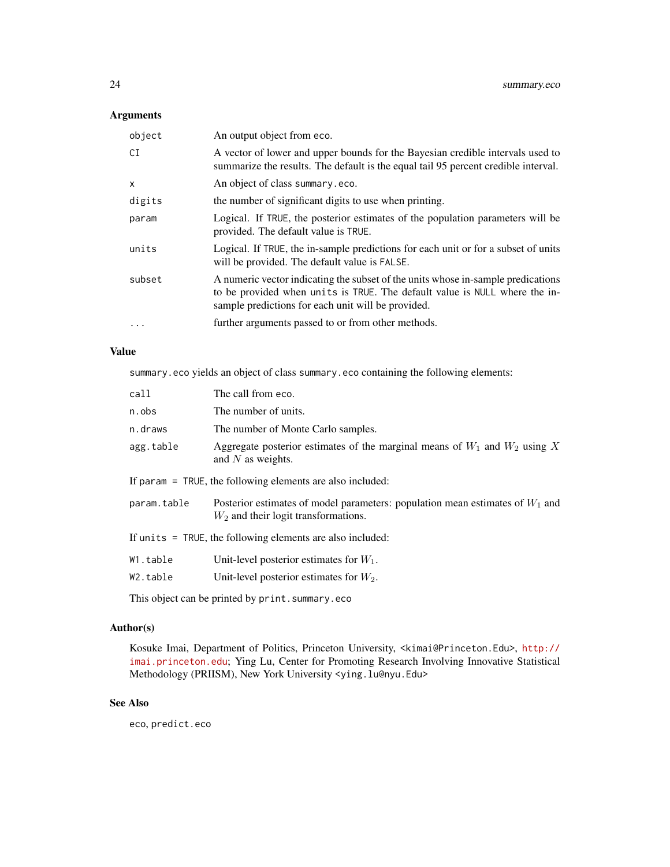# Arguments

| object       | An output object from eco.                                                                                                                                                                                           |
|--------------|----------------------------------------------------------------------------------------------------------------------------------------------------------------------------------------------------------------------|
| CI           | A vector of lower and upper bounds for the Bayesian credible intervals used to<br>summarize the results. The default is the equal tail 95 percent credible interval.                                                 |
| $\mathsf{x}$ | An object of class summary.eco.                                                                                                                                                                                      |
| digits       | the number of significant digits to use when printing.                                                                                                                                                               |
| param        | Logical. If TRUE, the posterior estimates of the population parameters will be<br>provided. The default value is TRUE.                                                                                               |
| units        | Logical. If TRUE, the in-sample predictions for each unit or for a subset of units<br>will be provided. The default value is FALSE.                                                                                  |
| subset       | A numeric vector indicating the subset of the units whose in-sample predications<br>to be provided when units is TRUE. The default value is NULL where the in-<br>sample predictions for each unit will be provided. |
| $\cdots$     | further arguments passed to or from other methods.                                                                                                                                                                   |

# Value

summary.eco yields an object of class summary.eco containing the following elements:

| call                                                         | The call from eco.                                                                                                        |  |  |
|--------------------------------------------------------------|---------------------------------------------------------------------------------------------------------------------------|--|--|
| n.obs                                                        | The number of units.                                                                                                      |  |  |
| n.draws                                                      | The number of Monte Carlo samples.                                                                                        |  |  |
| agg.table                                                    | Aggregate posterior estimates of the marginal means of $W_1$ and $W_2$ using X<br>and $N$ as weights.                     |  |  |
| If param $=$ TRUE, the following elements are also included: |                                                                                                                           |  |  |
| param.table                                                  | Posterior estimates of model parameters: population mean estimates of $W_1$ and<br>$W_2$ and their logit transformations. |  |  |
| If units $=$ TRUE, the following elements are also included: |                                                                                                                           |  |  |
| W1.table                                                     | Unit-level posterior estimates for $W_1$ .                                                                                |  |  |
| W2.table                                                     | Unit-level posterior estimates for $W_2$ .                                                                                |  |  |
|                                                              |                                                                                                                           |  |  |

This object can be printed by print.summary.eco

# Author(s)

Kosuke Imai, Department of Politics, Princeton University, <kimai@Princeton.Edu>, [http://](http://imai.princeton.edu) [imai.princeton.edu](http://imai.princeton.edu); Ying Lu, Center for Promoting Research Involving Innovative Statistical Methodology (PRIISM), New York University <ying.lu@nyu.Edu>

# See Also

eco, predict.eco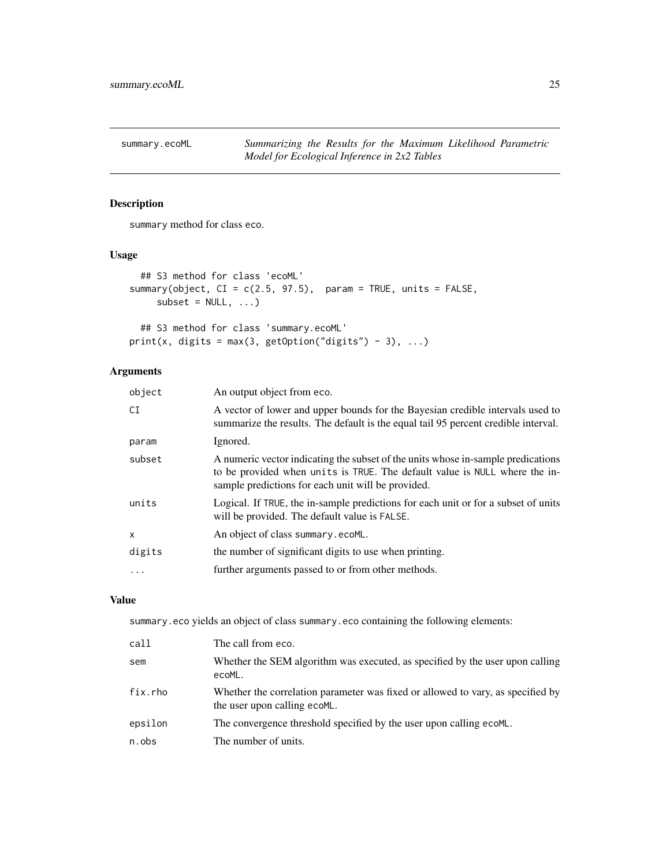<span id="page-24-0"></span>

# Description

summary method for class eco.

# Usage

```
## S3 method for class 'ecoML'
summary(object, CI = c(2.5, 97.5), param = TRUE, units = FALSE,
    subset = NULL, ...
```

```
## S3 method for class 'summary.ecoML'
print(x, digits = max(3, getOption("digits") - 3), ...)
```
# Arguments

| object       | An output object from eco.                                                                                                                                                                                           |
|--------------|----------------------------------------------------------------------------------------------------------------------------------------------------------------------------------------------------------------------|
| CI           | A vector of lower and upper bounds for the Bayesian credible intervals used to<br>summarize the results. The default is the equal tail 95 percent credible interval.                                                 |
| param        | Ignored.                                                                                                                                                                                                             |
| subset       | A numeric vector indicating the subset of the units whose in-sample predications<br>to be provided when units is TRUE. The default value is NULL where the in-<br>sample predictions for each unit will be provided. |
| units        | Logical. If TRUE, the in-sample predictions for each unit or for a subset of units<br>will be provided. The default value is FALSE.                                                                                  |
| $\mathsf{x}$ | An object of class summary.ecoML.                                                                                                                                                                                    |
| digits       | the number of significant digits to use when printing.                                                                                                                                                               |
|              | further arguments passed to or from other methods.                                                                                                                                                                   |
|              |                                                                                                                                                                                                                      |

# Value

summary.eco yields an object of class summary.eco containing the following elements:

| call    | The call from eco.                                                                                              |
|---------|-----------------------------------------------------------------------------------------------------------------|
| sem     | Whether the SEM algorithm was executed, as specified by the user upon calling<br>ecoML.                         |
| fix.rho | Whether the correlation parameter was fixed or allowed to vary, as specified by<br>the user upon calling ecoML. |
| epsilon | The convergence threshold specified by the user upon calling ecoML.                                             |
| n.obs   | The number of units.                                                                                            |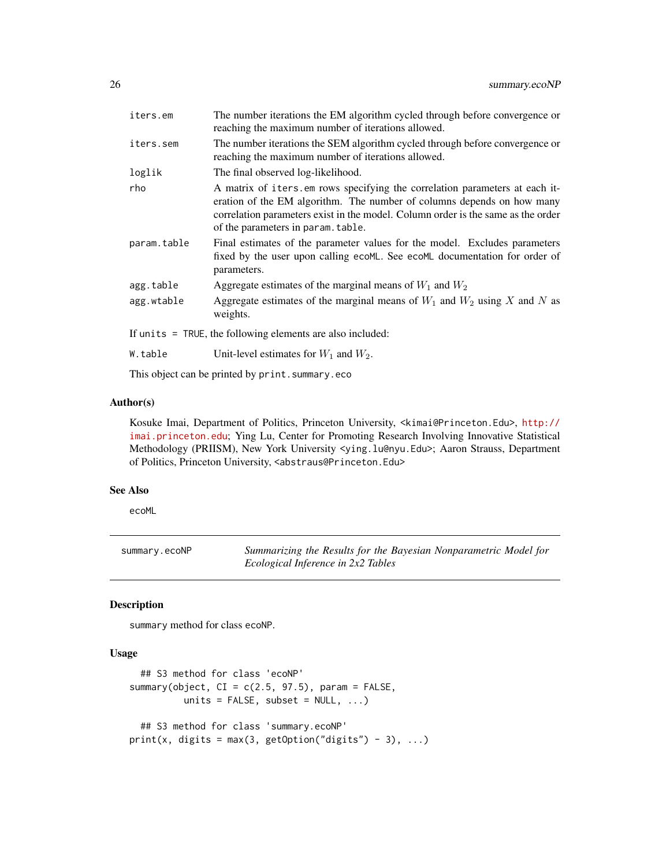<span id="page-25-0"></span>

| iters.em    | The number iterations the EM algorithm cycled through before convergence or<br>reaching the maximum number of iterations allowed.                                                                                                                                               |  |
|-------------|---------------------------------------------------------------------------------------------------------------------------------------------------------------------------------------------------------------------------------------------------------------------------------|--|
| iters.sem   | The number iterations the SEM algorithm cycled through before convergence or<br>reaching the maximum number of iterations allowed.                                                                                                                                              |  |
| loglik      | The final observed log-likelihood.                                                                                                                                                                                                                                              |  |
| rho         | A matrix of iters.em rows specifying the correlation parameters at each it-<br>eration of the EM algorithm. The number of columns depends on how many<br>correlation parameters exist in the model. Column order is the same as the order<br>of the parameters in param. table. |  |
| param.table | Final estimates of the parameter values for the model. Excludes parameters<br>fixed by the user upon calling ecoML. See ecoML documentation for order of<br>parameters.                                                                                                         |  |
| agg.table   | Aggregate estimates of the marginal means of $W_1$ and $W_2$                                                                                                                                                                                                                    |  |
| agg.wtable  | Aggregate estimates of the marginal means of $W_1$ and $W_2$ using X and N as<br>weights.                                                                                                                                                                                       |  |
|             | If units = TRUE, the following elements are also included:                                                                                                                                                                                                                      |  |
| W.table     | Unit-level estimates for $W_1$ and $W_2$ .                                                                                                                                                                                                                                      |  |
|             |                                                                                                                                                                                                                                                                                 |  |

This object can be printed by print.summary.eco

# Author(s)

Kosuke Imai, Department of Politics, Princeton University, <kimai@Princeton.Edu>, [http://](http://imai.princeton.edu) [imai.princeton.edu](http://imai.princeton.edu); Ying Lu, Center for Promoting Research Involving Innovative Statistical Methodology (PRIISM), New York University <ying.lu@nyu.Edu>; Aaron Strauss, Department of Politics, Princeton University, <abstraus@Princeton.Edu>

# See Also

ecoML

summary.ecoNP *Summarizing the Results for the Bayesian Nonparametric Model for Ecological Inference in 2x2 Tables*

# Description

summary method for class ecoNP.

# Usage

```
## S3 method for class 'ecoNP'
summary(object, CI = c(2.5, 97.5), param = FALSE,
         units = FALSE, subset = NULL, ...## S3 method for class 'summary.ecoNP'
print(x, digits = max(3, getOption("digits") - 3), ...)
```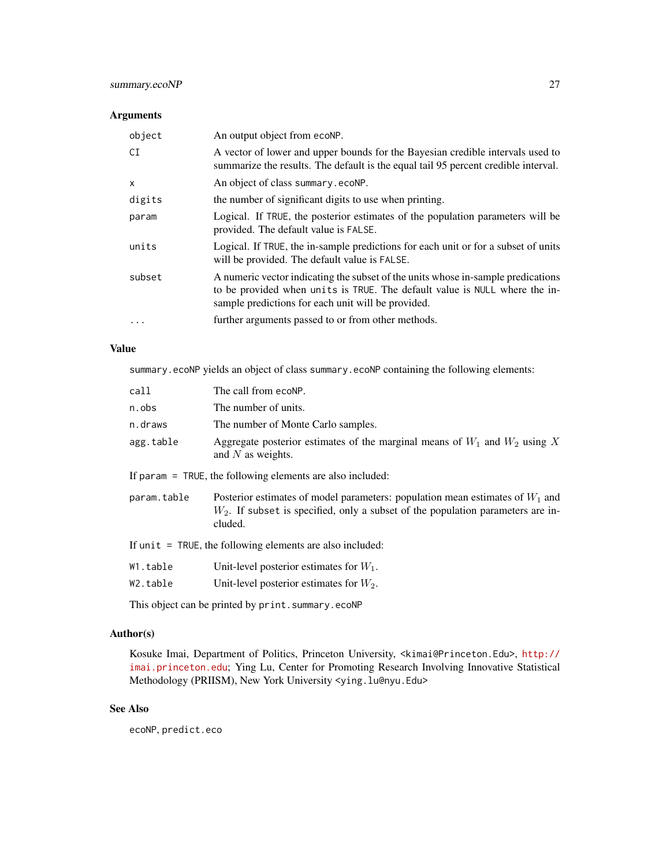# summary.ecoNP 27

# Arguments

| object       | An output object from ecoNP.                                                                                                                                                                                         |
|--------------|----------------------------------------------------------------------------------------------------------------------------------------------------------------------------------------------------------------------|
| CI           | A vector of lower and upper bounds for the Bayesian credible intervals used to<br>summarize the results. The default is the equal tail 95 percent credible interval.                                                 |
| $\mathsf{x}$ | An object of class summary ecoNP.                                                                                                                                                                                    |
| digits       | the number of significant digits to use when printing.                                                                                                                                                               |
| param        | Logical. If TRUE, the posterior estimates of the population parameters will be<br>provided. The default value is FALSE.                                                                                              |
| units        | Logical. If TRUE, the in-sample predictions for each unit or for a subset of units<br>will be provided. The default value is FALSE.                                                                                  |
| subset       | A numeric vector indicating the subset of the units whose in-sample predications<br>to be provided when units is TRUE. The default value is NULL where the in-<br>sample predictions for each unit will be provided. |
| $\ddotsc$    | further arguments passed to or from other methods.                                                                                                                                                                   |

# Value

summary.ecoNP yields an object of class summary.ecoNP containing the following elements:

| call        | The call from ecoNP.                                                                                                                                                  |  |
|-------------|-----------------------------------------------------------------------------------------------------------------------------------------------------------------------|--|
| n.obs       | The number of units.                                                                                                                                                  |  |
| n.draws     | The number of Monte Carlo samples.                                                                                                                                    |  |
| agg.table   | Aggregate posterior estimates of the marginal means of $W_1$ and $W_2$ using X<br>and $N$ as weights.                                                                 |  |
|             | If param $=$ TRUE, the following elements are also included:                                                                                                          |  |
| param.table | Posterior estimates of model parameters: population mean estimates of $W_1$ and<br>$W_2$ . If subset is specified, only a subset of the population parameters are in- |  |

If unit = TRUE, the following elements are also included:

cluded.

|  | W1.table | Unit-level posterior estimates for $W_1$ . |  |  |  |  |
|--|----------|--------------------------------------------|--|--|--|--|
|--|----------|--------------------------------------------|--|--|--|--|

W2.table Unit-level posterior estimates for  $W_2$ .

This object can be printed by print.summary.ecoNP

# Author(s)

Kosuke Imai, Department of Politics, Princeton University, <kimai@Princeton.Edu>, [http://](http://imai.princeton.edu) [imai.princeton.edu](http://imai.princeton.edu); Ying Lu, Center for Promoting Research Involving Innovative Statistical Methodology (PRIISM), New York University <ying.lu@nyu.Edu>

# See Also

ecoNP, predict.eco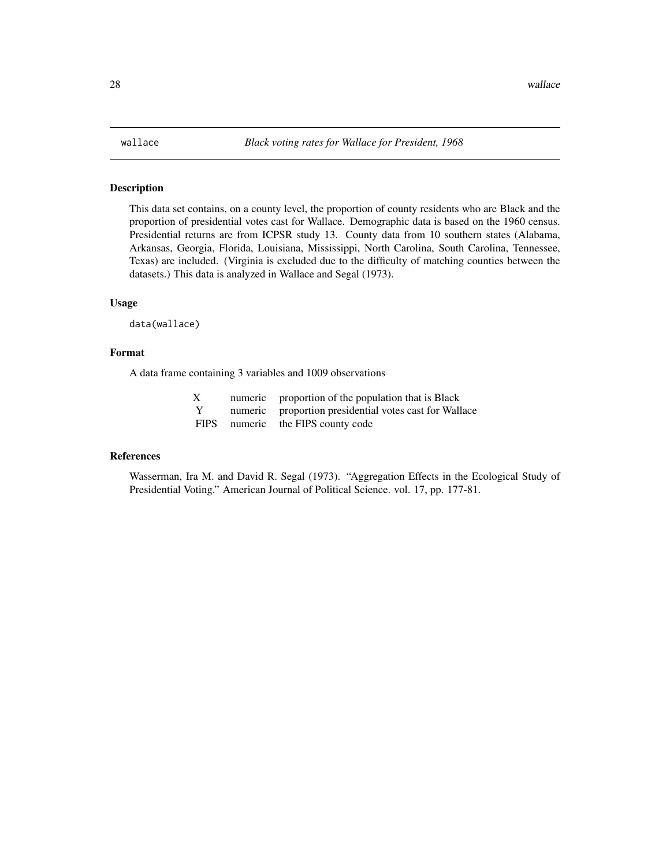# <span id="page-27-0"></span>Description

This data set contains, on a county level, the proportion of county residents who are Black and the proportion of presidential votes cast for Wallace. Demographic data is based on the 1960 census. Presidential returns are from ICPSR study 13. County data from 10 southern states (Alabama, Arkansas, Georgia, Florida, Louisiana, Mississippi, North Carolina, South Carolina, Tennessee, Texas) are included. (Virginia is excluded due to the difficulty of matching counties between the datasets.) This data is analyzed in Wallace and Segal (1973).

#### Usage

data(wallace)

#### Format

A data frame containing 3 variables and 1009 observations

| Х           | numeric proportion of the population that is Black     |
|-------------|--------------------------------------------------------|
| Y           | numeric proportion presidential votes cast for Wallace |
| <b>FIPS</b> | numeric the FIPS county code                           |

#### References

Wasserman, Ira M. and David R. Segal (1973). "Aggregation Effects in the Ecological Study of Presidential Voting." American Journal of Political Science. vol. 17, pp. 177-81.